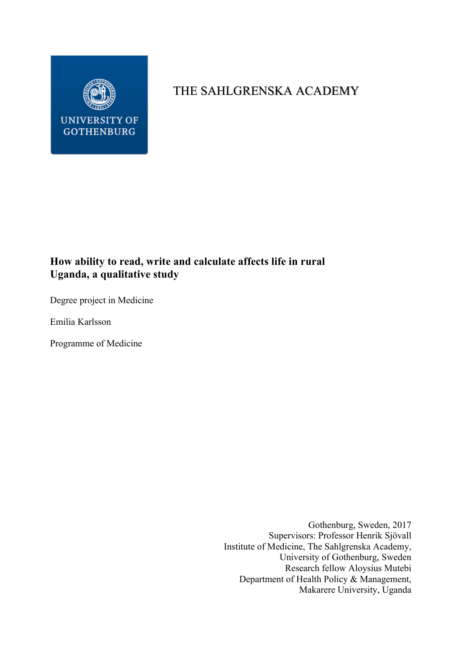

# THE SAHLGRENSKA ACADEMY

## **How ability to read, write and calculate affects life in rural Uganda, a qualitative study**

Degree project in Medicine

Emilia Karlsson

Programme of Medicine

Gothenburg, Sweden, 2017 Supervisors: Professor Henrik Sjövall Institute of Medicine, The Sahlgrenska Academy, University of Gothenburg, Sweden Research fellow Aloysius Mutebi Department of Health Policy & Management, Makarere University, Uganda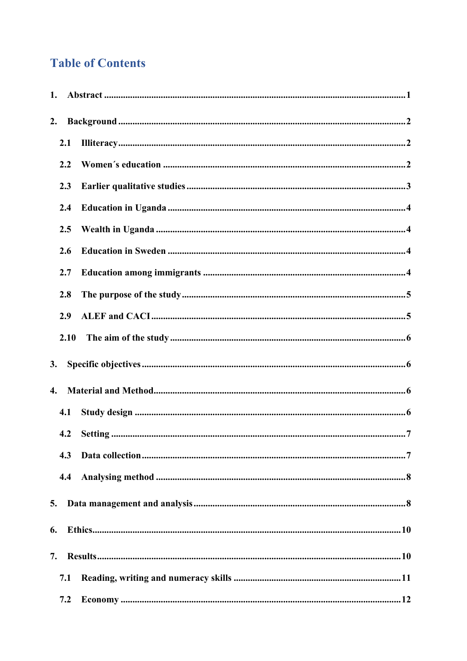# **Table of Contents**

| 1. |      |  |
|----|------|--|
| 2. |      |  |
|    | 2.1  |  |
|    | 2.2  |  |
|    | 2.3  |  |
|    | 2.4  |  |
|    | 2.5  |  |
|    | 2.6  |  |
|    | 2.7  |  |
|    | 2.8  |  |
|    | 2.9  |  |
|    | 2.10 |  |
| 3. |      |  |
| 4. |      |  |
|    | 4.1  |  |
|    | 4.2  |  |
|    | 4.3  |  |
|    | 4.4  |  |
| 5. |      |  |
| 6. |      |  |
| 7. |      |  |
|    | 7.1  |  |
|    | 7.2  |  |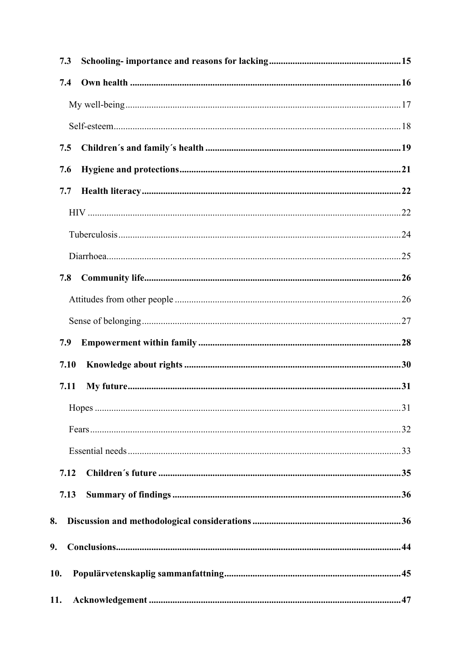|     | 7.3          |  |
|-----|--------------|--|
|     | 7.4          |  |
|     |              |  |
|     |              |  |
|     | 7.5          |  |
|     | 7.6          |  |
|     | 7.7          |  |
|     |              |  |
|     |              |  |
|     |              |  |
|     | 7.8          |  |
|     |              |  |
|     |              |  |
|     | 7.9          |  |
|     | 7.10         |  |
|     | 7.11         |  |
|     | $\mathbf{v}$ |  |
|     |              |  |
|     |              |  |
|     | 7.12         |  |
|     | 7.13         |  |
| 8.  |              |  |
| 9.  |              |  |
|     |              |  |
|     |              |  |
| 10. |              |  |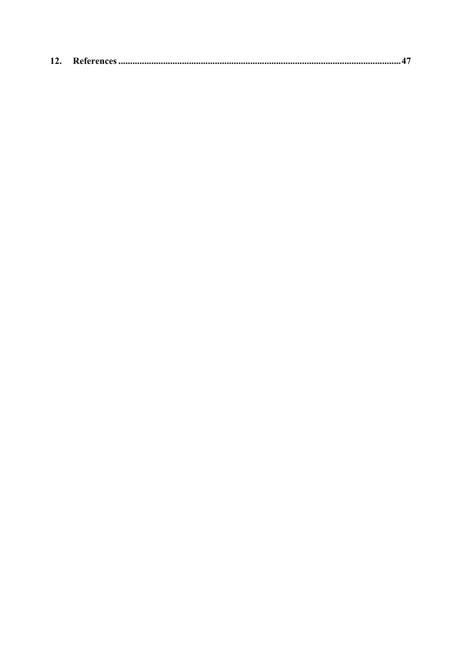| 12. |  |  |
|-----|--|--|
|-----|--|--|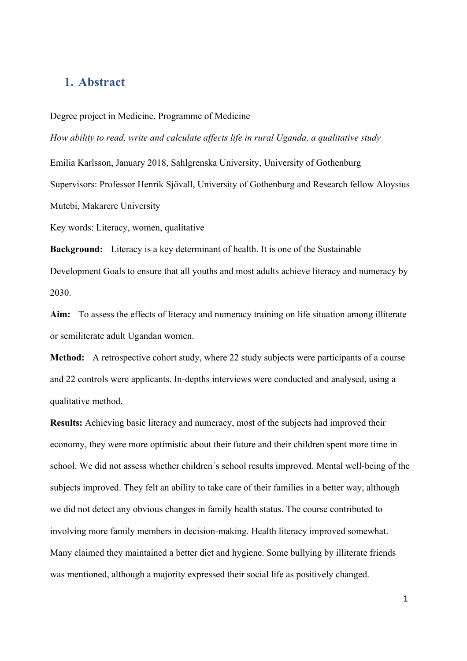## **1. Abstract**

#### Degree project in Medicine, Programme of Medicine

*How ability to read, write and calculate affects life in rural Uganda, a qualitative study*

Emilia Karlsson, January 2018, Sahlgrenska University, University of Gothenburg

Supervisors: Professor Henrik Sjövall, University of Gothenburg and Research fellow Aloysius Mutebi, Makarere University

Key words: Literacy, women, qualitative

**Background:** Literacy is a key determinant of health. It is one of the Sustainable Development Goals to ensure that all youths and most adults achieve literacy and numeracy by 2030.

**Aim:** To assess the effects of literacy and numeracy training on life situation among illiterate or semiliterate adult Ugandan women.

**Method:** A retrospective cohort study, where 22 study subjects were participants of a course and 22 controls were applicants. In-depths interviews were conducted and analysed, using a qualitative method.

**Results:** Achieving basic literacy and numeracy, most of the subjects had improved their economy, they were more optimistic about their future and their children spent more time in school. We did not assess whether children´s school results improved. Mental well-being of the subjects improved. They felt an ability to take care of their families in a better way, although we did not detect any obvious changes in family health status. The course contributed to involving more family members in decision-making. Health literacy improved somewhat. Many claimed they maintained a better diet and hygiene. Some bullying by illiterate friends was mentioned, although a majority expressed their social life as positively changed.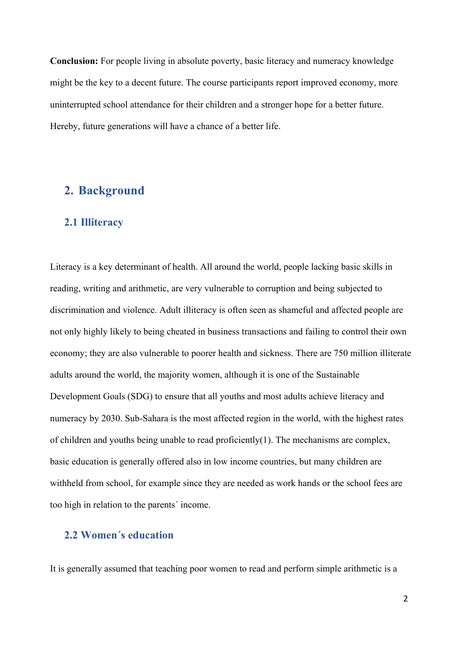**Conclusion:** For people living in absolute poverty, basic literacy and numeracy knowledge might be the key to a decent future. The course participants report improved economy, more uninterrupted school attendance for their children and a stronger hope for a better future. Hereby, future generations will have a chance of a better life.

## **2. Background**

## **2.1 Illiteracy**

Literacy is a key determinant of health. All around the world, people lacking basic skills in reading, writing and arithmetic, are very vulnerable to corruption and being subjected to discrimination and violence. Adult illiteracy is often seen as shameful and affected people are not only highly likely to being cheated in business transactions and failing to control their own economy; they are also vulnerable to poorer health and sickness. There are 750 million illiterate adults around the world, the majority women, although it is one of the Sustainable Development Goals (SDG) to ensure that all youths and most adults achieve literacy and numeracy by 2030. Sub-Sahara is the most affected region in the world, with the highest rates of children and youths being unable to read proficiently(1). The mechanisms are complex, basic education is generally offered also in low income countries, but many children are withheld from school, for example since they are needed as work hands or the school fees are too high in relation to the parents´ income.

## **2.2 Women´s education**

It is generally assumed that teaching poor women to read and perform simple arithmetic is a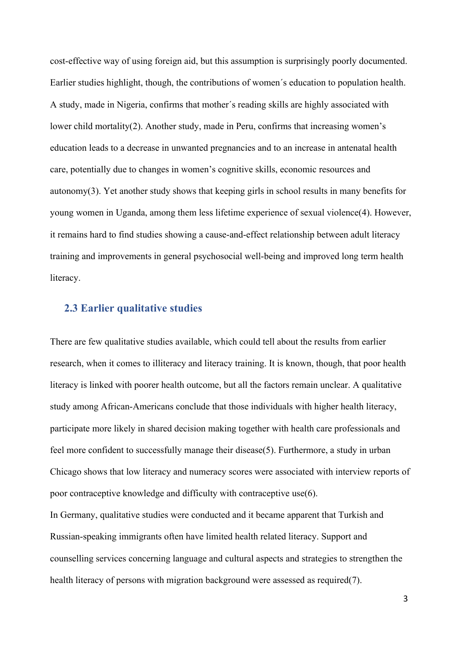cost-effective way of using foreign aid, but this assumption is surprisingly poorly documented. Earlier studies highlight, though, the contributions of women´s education to population health. A study, made in Nigeria, confirms that mother´s reading skills are highly associated with lower child mortality(2). Another study, made in Peru, confirms that increasing women's education leads to a decrease in unwanted pregnancies and to an increase in antenatal health care, potentially due to changes in women's cognitive skills, economic resources and autonomy(3). Yet another study shows that keeping girls in school results in many benefits for young women in Uganda, among them less lifetime experience of sexual violence(4). However, it remains hard to find studies showing a cause-and-effect relationship between adult literacy training and improvements in general psychosocial well-being and improved long term health literacy.

### **2.3 Earlier qualitative studies**

There are few qualitative studies available, which could tell about the results from earlier research, when it comes to illiteracy and literacy training. It is known, though, that poor health literacy is linked with poorer health outcome, but all the factors remain unclear. A qualitative study among African-Americans conclude that those individuals with higher health literacy, participate more likely in shared decision making together with health care professionals and feel more confident to successfully manage their disease(5). Furthermore, a study in urban Chicago shows that low literacy and numeracy scores were associated with interview reports of poor contraceptive knowledge and difficulty with contraceptive use(6).

In Germany, qualitative studies were conducted and it became apparent that Turkish and Russian-speaking immigrants often have limited health related literacy. Support and counselling services concerning language and cultural aspects and strategies to strengthen the health literacy of persons with migration background were assessed as required(7).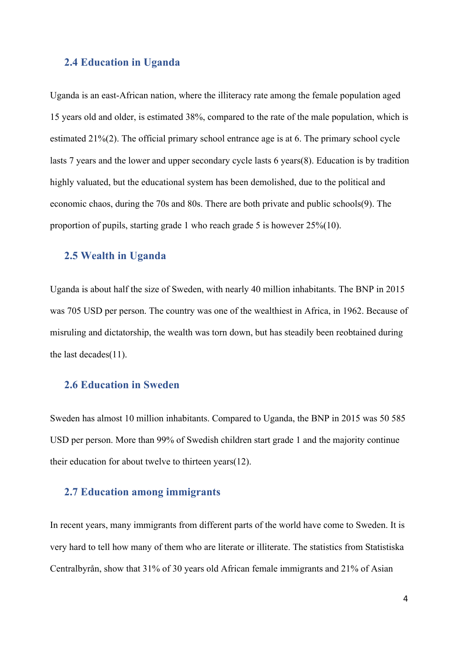#### **2.4 Education in Uganda**

Uganda is an east-African nation, where the illiteracy rate among the female population aged 15 years old and older, is estimated 38%, compared to the rate of the male population, which is estimated 21%(2). The official primary school entrance age is at 6. The primary school cycle lasts 7 years and the lower and upper secondary cycle lasts 6 years(8). Education is by tradition highly valuated, but the educational system has been demolished, due to the political and economic chaos, during the 70s and 80s. There are both private and public schools(9). The proportion of pupils, starting grade 1 who reach grade 5 is however 25%(10).

## **2.5 Wealth in Uganda**

Uganda is about half the size of Sweden, with nearly 40 million inhabitants. The BNP in 2015 was 705 USD per person. The country was one of the wealthiest in Africa, in 1962. Because of misruling and dictatorship, the wealth was torn down, but has steadily been reobtained during the last decades(11).

### **2.6 Education in Sweden**

Sweden has almost 10 million inhabitants. Compared to Uganda, the BNP in 2015 was 50 585 USD per person. More than 99% of Swedish children start grade 1 and the majority continue their education for about twelve to thirteen years(12).

#### **2.7 Education among immigrants**

In recent years, many immigrants from different parts of the world have come to Sweden. It is very hard to tell how many of them who are literate or illiterate. The statistics from Statistiska Centralbyrån, show that 31% of 30 years old African female immigrants and 21% of Asian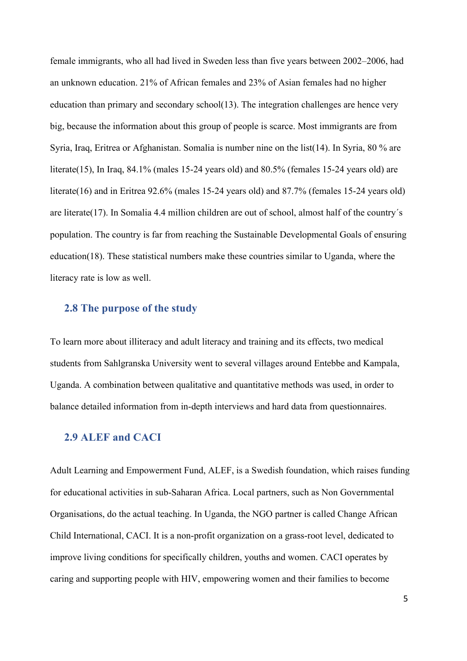female immigrants, who all had lived in Sweden less than five years between 2002–2006, had an unknown education. 21% of African females and 23% of Asian females had no higher education than primary and secondary school(13). The integration challenges are hence very big, because the information about this group of people is scarce. Most immigrants are from Syria, Iraq, Eritrea or Afghanistan. Somalia is number nine on the list(14). In Syria, 80 % are literate(15), In Iraq, 84.1% (males 15-24 years old) and 80.5% (females 15-24 years old) are literate(16) and in Eritrea 92.6% (males 15-24 years old) and 87.7% (females 15-24 years old) are literate(17). In Somalia 4.4 million children are out of school, almost half of the country´s population. The country is far from reaching the Sustainable Developmental Goals of ensuring education(18). These statistical numbers make these countries similar to Uganda, where the literacy rate is low as well.

## **2.8 The purpose of the study**

To learn more about illiteracy and adult literacy and training and its effects, two medical students from Sahlgranska University went to several villages around Entebbe and Kampala, Uganda. A combination between qualitative and quantitative methods was used, in order to balance detailed information from in-depth interviews and hard data from questionnaires.

## **2.9 ALEF and CACI**

Adult Learning and Empowerment Fund, ALEF, is a Swedish foundation, which raises funding for educational activities in sub-Saharan Africa. Local partners, such as Non Governmental Organisations, do the actual teaching. In Uganda, the NGO partner is called Change African Child International, CACI. It is a non-profit organization on a grass-root level, dedicated to improve living conditions for specifically children, youths and women. CACI operates by caring and supporting people with HIV, empowering women and their families to become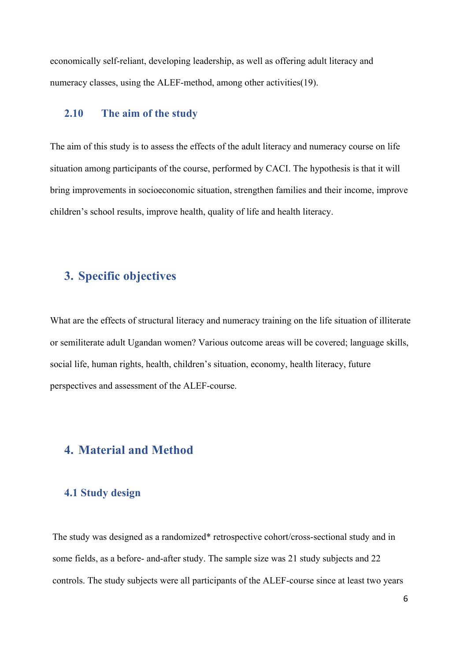economically self-reliant, developing leadership, as well as offering adult literacy and numeracy classes, using the ALEF-method, among other activities(19).

### **2.10 The aim of the study**

The aim of this study is to assess the effects of the adult literacy and numeracy course on life situation among participants of the course, performed by CACI. The hypothesis is that it will bring improvements in socioeconomic situation, strengthen families and their income, improve children's school results, improve health, quality of life and health literacy.

## **3. Specific objectives**

What are the effects of structural literacy and numeracy training on the life situation of illiterate or semiliterate adult Ugandan women? Various outcome areas will be covered; language skills, social life, human rights, health, children's situation, economy, health literacy, future perspectives and assessment of the ALEF-course.

## **4. Material and Method**

#### **4.1 Study design**

The study was designed as a randomized\* retrospective cohort/cross-sectional study and in some fields, as a before- and-after study. The sample size was 21 study subjects and 22 controls. The study subjects were all participants of the ALEF-course since at least two years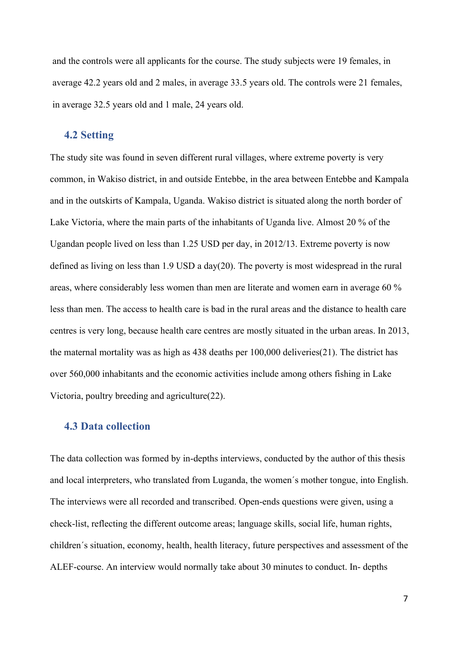and the controls were all applicants for the course. The study subjects were 19 females, in average 42.2 years old and 2 males, in average 33.5 years old. The controls were 21 females, in average 32.5 years old and 1 male, 24 years old.

### **4.2 Setting**

The study site was found in seven different rural villages, where extreme poverty is very common, in Wakiso district, in and outside Entebbe, in the area between Entebbe and Kampala and in the outskirts of Kampala, Uganda. Wakiso district is situated along the north border of Lake Victoria, where the main parts of the inhabitants of Uganda live. Almost 20 % of the Ugandan people lived on less than 1.25 USD per day, in 2012/13. Extreme poverty is now defined as living on less than 1.9 USD a day(20). The poverty is most widespread in the rural areas, where considerably less women than men are literate and women earn in average 60 % less than men. The access to health care is bad in the rural areas and the distance to health care centres is very long, because health care centres are mostly situated in the urban areas. In 2013, the maternal mortality was as high as 438 deaths per 100,000 deliveries(21). The district has over 560,000 inhabitants and the economic activities include among others fishing in Lake Victoria, poultry breeding and agriculture(22).

#### **4.3 Data collection**

The data collection was formed by in-depths interviews, conducted by the author of this thesis and local interpreters, who translated from Luganda, the women´s mother tongue, into English. The interviews were all recorded and transcribed. Open-ends questions were given, using a check-list, reflecting the different outcome areas; language skills, social life, human rights, children´s situation, economy, health, health literacy, future perspectives and assessment of the ALEF-course. An interview would normally take about 30 minutes to conduct. In- depths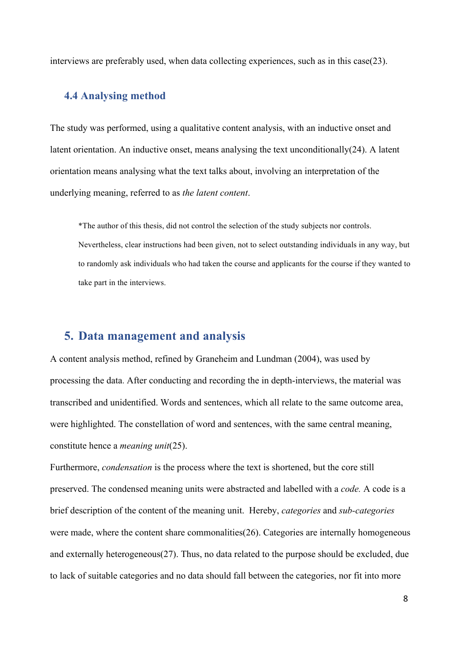interviews are preferably used, when data collecting experiences, such as in this case(23).

### **4.4 Analysing method**

The study was performed, using a qualitative content analysis, with an inductive onset and latent orientation. An inductive onset, means analysing the text unconditionally $(24)$ . A latent orientation means analysing what the text talks about, involving an interpretation of the underlying meaning, referred to as *the latent content*.

\*The author of this thesis, did not control the selection of the study subjects nor controls. Nevertheless, clear instructions had been given, not to select outstanding individuals in any way, but to randomly ask individuals who had taken the course and applicants for the course if they wanted to take part in the interviews.

## **5. Data management and analysis**

A content analysis method, refined by Graneheim and Lundman (2004), was used by processing the data. After conducting and recording the in depth-interviews, the material was transcribed and unidentified. Words and sentences, which all relate to the same outcome area, were highlighted. The constellation of word and sentences, with the same central meaning, constitute hence a *meaning unit*(25).

Furthermore, *condensation* is the process where the text is shortened, but the core still preserved. The condensed meaning units were abstracted and labelled with a *code.* A code is a brief description of the content of the meaning unit. Hereby, *categories* and *sub-categories*  were made, where the content share commonalities(26). Categories are internally homogeneous and externally heterogeneous(27). Thus, no data related to the purpose should be excluded, due to lack of suitable categories and no data should fall between the categories, nor fit into more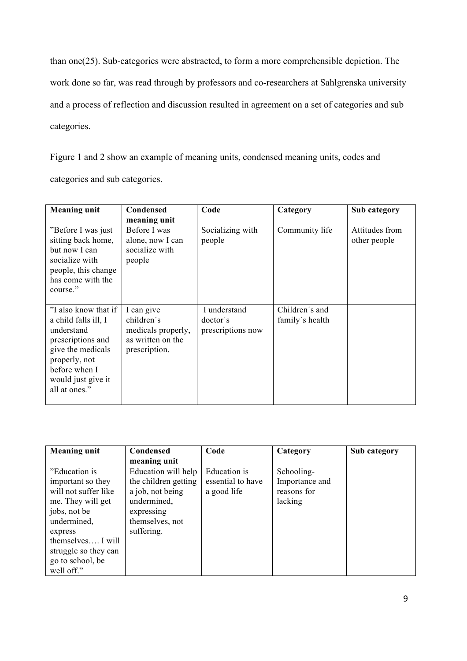than one(25). Sub-categories were abstracted, to form a more comprehensible depiction. The work done so far, was read through by professors and co-researchers at Sahlgrenska university and a process of reflection and discussion resulted in agreement on a set of categories and sub categories.

Figure 1 and 2 show an example of meaning units, condensed meaning units, codes and categories and sub categories.

| <b>Meaning unit</b>                                                                                                                                                           | Condensed<br>meaning unit                                                            | Code                                          | Category                          | Sub category                   |
|-------------------------------------------------------------------------------------------------------------------------------------------------------------------------------|--------------------------------------------------------------------------------------|-----------------------------------------------|-----------------------------------|--------------------------------|
| "Before I was just<br>sitting back home,<br>but now I can<br>socialize with<br>people, this change<br>has come with the<br>course."                                           | Before I was<br>alone, now I can<br>socialize with<br>people                         | Socializing with<br>people                    | Community life                    | Attitudes from<br>other people |
| "I also know that if<br>a child falls ill, I<br>understand<br>prescriptions and<br>give the medicals<br>properly, not<br>before when I<br>would just give it<br>all at ones." | I can give<br>children's<br>medicals properly,<br>as written on the<br>prescription. | I understand<br>doctor's<br>prescriptions now | Children's and<br>family's health |                                |

| <b>Meaning unit</b>  | Condensed            | Code              | Category       | Sub category |
|----------------------|----------------------|-------------------|----------------|--------------|
|                      | meaning unit         |                   |                |              |
| "Education is"       | Education will help  | Education is      | Schooling-     |              |
| important so they    | the children getting | essential to have | Importance and |              |
| will not suffer like | a job, not being     | a good life       | reasons for    |              |
| me. They will get    | undermined,          |                   | lacking        |              |
| jobs, not be         | expressing           |                   |                |              |
| undermined,          | themselves, not      |                   |                |              |
| express              | suffering.           |                   |                |              |
| themselves I will    |                      |                   |                |              |
| struggle so they can |                      |                   |                |              |
| go to school, be     |                      |                   |                |              |
| well off."           |                      |                   |                |              |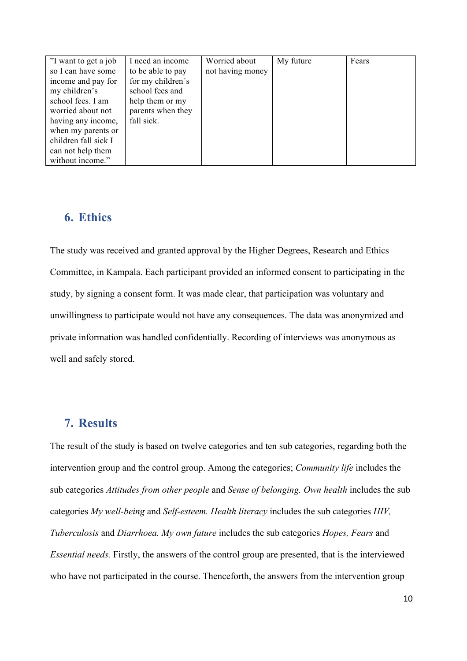| "I want to get a job | I need an income  | Worried about    | My future | Fears |
|----------------------|-------------------|------------------|-----------|-------|
| so I can have some   | to be able to pay | not having money |           |       |
| income and pay for   | for my children's |                  |           |       |
| my children's        | school fees and   |                  |           |       |
| school fees. I am    | help them or my   |                  |           |       |
| worried about not    | parents when they |                  |           |       |
| having any income,   | fall sick.        |                  |           |       |
| when my parents or   |                   |                  |           |       |
| children fall sick I |                   |                  |           |       |
| can not help them    |                   |                  |           |       |
| without income."     |                   |                  |           |       |

## **6. Ethics**

The study was received and granted approval by the Higher Degrees, Research and Ethics Committee, in Kampala. Each participant provided an informed consent to participating in the study, by signing a consent form. It was made clear, that participation was voluntary and unwillingness to participate would not have any consequences. The data was anonymized and private information was handled confidentially. Recording of interviews was anonymous as well and safely stored.

## **7. Results**

The result of the study is based on twelve categories and ten sub categories, regarding both the intervention group and the control group. Among the categories; *Community life* includes the sub categories *Attitudes from other people* and *Sense of belonging. Own health* includes the sub categories *My well-being* and *Self-esteem. Health literacy* includes the sub categories *HIV, Tuberculosis* and *Diarrhoea. My own future* includes the sub categories *Hopes, Fears* and *Essential needs.* Firstly, the answers of the control group are presented, that is the interviewed who have not participated in the course. Thenceforth, the answers from the intervention group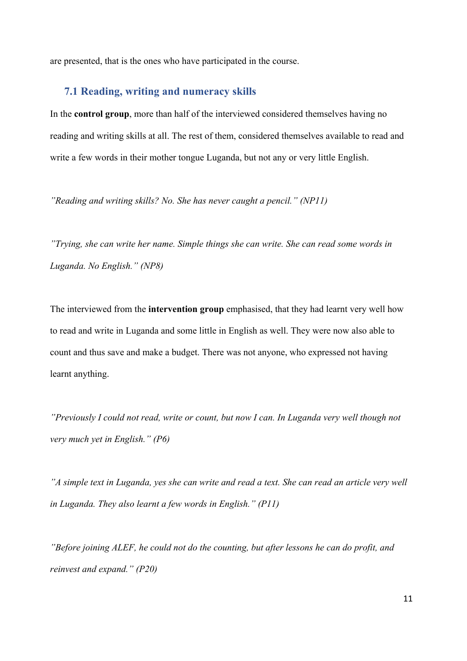are presented, that is the ones who have participated in the course.

### **7.1 Reading, writing and numeracy skills**

In the **control group**, more than half of the interviewed considered themselves having no reading and writing skills at all. The rest of them, considered themselves available to read and write a few words in their mother tongue Luganda, but not any or very little English.

*"Reading and writing skills? No. She has never caught a pencil." (NP11)*

*"Trying, she can write her name. Simple things she can write. She can read some words in Luganda. No English." (NP8)*

The interviewed from the **intervention group** emphasised, that they had learnt very well how to read and write in Luganda and some little in English as well. They were now also able to count and thus save and make a budget. There was not anyone, who expressed not having learnt anything.

*"Previously I could not read, write or count, but now I can. In Luganda very well though not very much yet in English." (P6)*

*"A simple text in Luganda, yes she can write and read a text. She can read an article very well in Luganda. They also learnt a few words in English." (P11)*

*"Before joining ALEF, he could not do the counting, but after lessons he can do profit, and reinvest and expand." (P20)*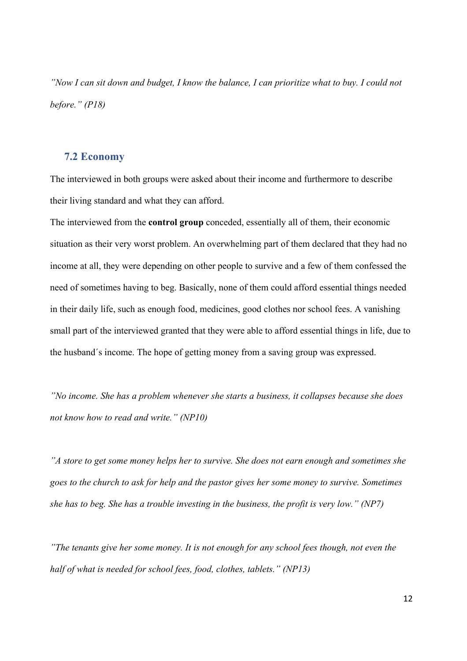*"Now I can sit down and budget, I know the balance, I can prioritize what to buy. I could not before." (P18)*

#### **7.2 Economy**

The interviewed in both groups were asked about their income and furthermore to describe their living standard and what they can afford.

The interviewed from the **control group** conceded, essentially all of them, their economic situation as their very worst problem. An overwhelming part of them declared that they had no income at all, they were depending on other people to survive and a few of them confessed the need of sometimes having to beg. Basically, none of them could afford essential things needed in their daily life, such as enough food, medicines, good clothes nor school fees. A vanishing small part of the interviewed granted that they were able to afford essential things in life, due to the husband´s income. The hope of getting money from a saving group was expressed.

*"No income. She has a problem whenever she starts a business, it collapses because she does not know how to read and write." (NP10)*

*"A store to get some money helps her to survive. She does not earn enough and sometimes she goes to the church to ask for help and the pastor gives her some money to survive. Sometimes she has to beg. She has a trouble investing in the business, the profit is very low." (NP7)*

*"The tenants give her some money. It is not enough for any school fees though, not even the half of what is needed for school fees, food, clothes, tablets." (NP13)*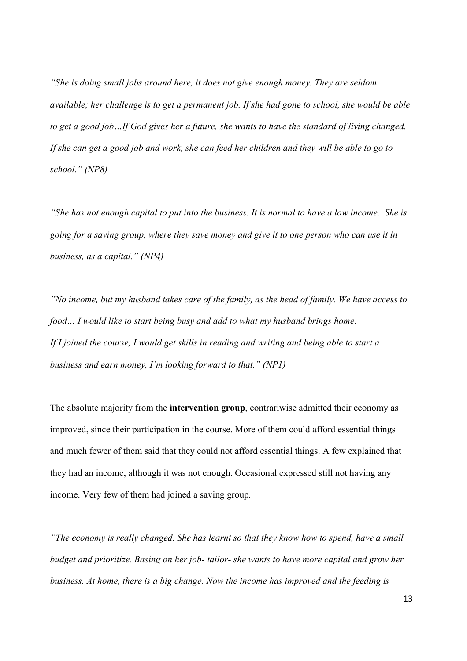*"She is doing small jobs around here, it does not give enough money. They are seldom available; her challenge is to get a permanent job. If she had gone to school, she would be able to get a good job…If God gives her a future, she wants to have the standard of living changed. If she can get a good job and work, she can feed her children and they will be able to go to school." (NP8)*

*"She has not enough capital to put into the business. It is normal to have a low income. She is going for a saving group, where they save money and give it to one person who can use it in business, as a capital." (NP4)*

*"No income, but my husband takes care of the family, as the head of family. We have access to food… I would like to start being busy and add to what my husband brings home. If I joined the course, I would get skills in reading and writing and being able to start a business and earn money, I'm looking forward to that." (NP1)*

The absolute majority from the **intervention group**, contrariwise admitted their economy as improved, since their participation in the course. More of them could afford essential things and much fewer of them said that they could not afford essential things. A few explained that they had an income, although it was not enough. Occasional expressed still not having any income. Very few of them had joined a saving group*.* 

*"The economy is really changed. She has learnt so that they know how to spend, have a small budget and prioritize. Basing on her job- tailor- she wants to have more capital and grow her business. At home, there is a big change. Now the income has improved and the feeding is*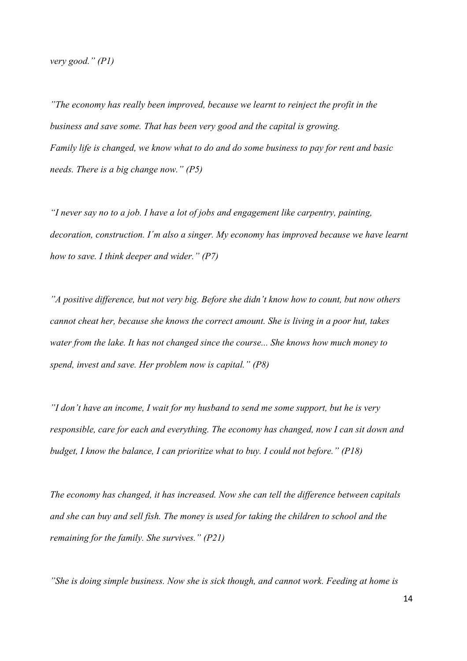*very good." (P1)*

*"The economy has really been improved, because we learnt to reinject the profit in the business and save some. That has been very good and the capital is growing. Family life is changed, we know what to do and do some business to pay for rent and basic needs. There is a big change now." (P5)*

*"I never say no to a job. I have a lot of jobs and engagement like carpentry, painting, decoration, construction. I´m also a singer. My economy has improved because we have learnt how to save. I think deeper and wider." (P7)*

*"A positive difference, but not very big. Before she didn't know how to count, but now others cannot cheat her, because she knows the correct amount. She is living in a poor hut, takes water from the lake. It has not changed since the course... She knows how much money to spend, invest and save. Her problem now is capital." (P8)*

*"I don't have an income, I wait for my husband to send me some support, but he is very responsible, care for each and everything. The economy has changed, now I can sit down and budget, I know the balance, I can prioritize what to buy. I could not before." (P18)*

*The economy has changed, it has increased. Now she can tell the difference between capitals and she can buy and sell fish. The money is used for taking the children to school and the remaining for the family. She survives." (P21)*

*"She is doing simple business. Now she is sick though, and cannot work. Feeding at home is*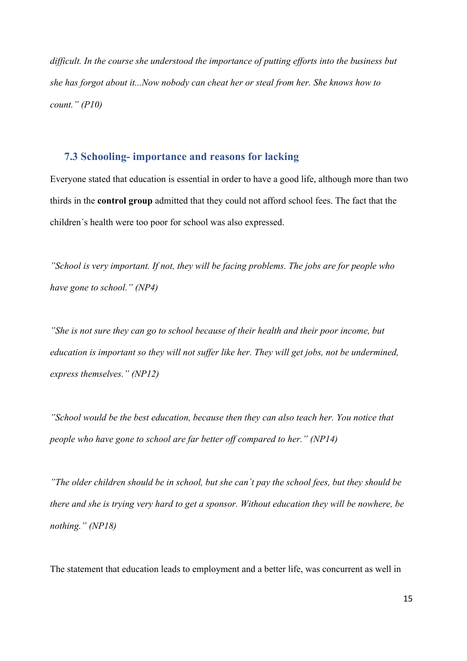*difficult. In the course she understood the importance of putting efforts into the business but she has forgot about it...Now nobody can cheat her or steal from her. She knows how to count." (P10)*

#### **7.3 Schooling- importance and reasons for lacking**

Everyone stated that education is essential in order to have a good life, although more than two thirds in the **control group** admitted that they could not afford school fees. The fact that the children´s health were too poor for school was also expressed.

*"School is very important. If not, they will be facing problems. The jobs are for people who have gone to school." (NP4)*

*"She is not sure they can go to school because of their health and their poor income, but education is important so they will not suffer like her. They will get jobs, not be undermined, express themselves." (NP12)*

*"School would be the best education, because then they can also teach her. You notice that people who have gone to school are far better off compared to her." (NP14)*

*"The older children should be in school, but she can´t pay the school fees, but they should be there and she is trying very hard to get a sponsor. Without education they will be nowhere, be nothing." (NP18)*

The statement that education leads to employment and a better life, was concurrent as well in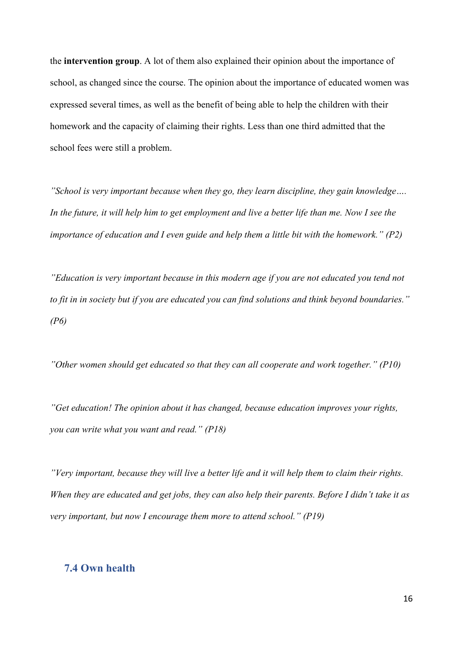the **intervention group**. A lot of them also explained their opinion about the importance of school, as changed since the course. The opinion about the importance of educated women was expressed several times, as well as the benefit of being able to help the children with their homework and the capacity of claiming their rights. Less than one third admitted that the school fees were still a problem.

*"School is very important because when they go, they learn discipline, they gain knowledge…. In the future, it will help him to get employment and live a better life than me. Now I see the importance of education and I even guide and help them a little bit with the homework." (P2)*

*"Education is very important because in this modern age if you are not educated you tend not to fit in in society but if you are educated you can find solutions and think beyond boundaries." (P6)*

*"Other women should get educated so that they can all cooperate and work together." (P10)*

*"Get education! The opinion about it has changed, because education improves your rights, you can write what you want and read." (P18)*

*"Very important, because they will live a better life and it will help them to claim their rights. When they are educated and get jobs, they can also help their parents. Before I didn't take it as very important, but now I encourage them more to attend school." (P19)*

## **7.4 Own health**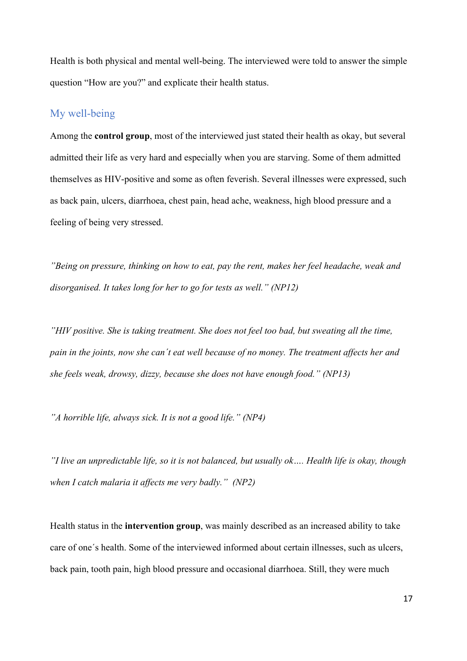Health is both physical and mental well-being. The interviewed were told to answer the simple question "How are you?" and explicate their health status.

## My well-being

Among the **control group**, most of the interviewed just stated their health as okay, but several admitted their life as very hard and especially when you are starving. Some of them admitted themselves as HIV-positive and some as often feverish. Several illnesses were expressed, such as back pain, ulcers, diarrhoea, chest pain, head ache, weakness, high blood pressure and a feeling of being very stressed.

*"Being on pressure, thinking on how to eat, pay the rent, makes her feel headache, weak and disorganised. It takes long for her to go for tests as well." (NP12)*

*"HIV positive. She is taking treatment. She does not feel too bad, but sweating all the time, pain in the joints, now she can´t eat well because of no money. The treatment affects her and she feels weak, drowsy, dizzy, because she does not have enough food." (NP13)*

*"A horrible life, always sick. It is not a good life." (NP4)*

*"I live an unpredictable life, so it is not balanced, but usually ok…. Health life is okay, though when I catch malaria it affects me very badly." (NP2)*

Health status in the **intervention group**, was mainly described as an increased ability to take care of one´s health. Some of the interviewed informed about certain illnesses, such as ulcers, back pain, tooth pain, high blood pressure and occasional diarrhoea. Still, they were much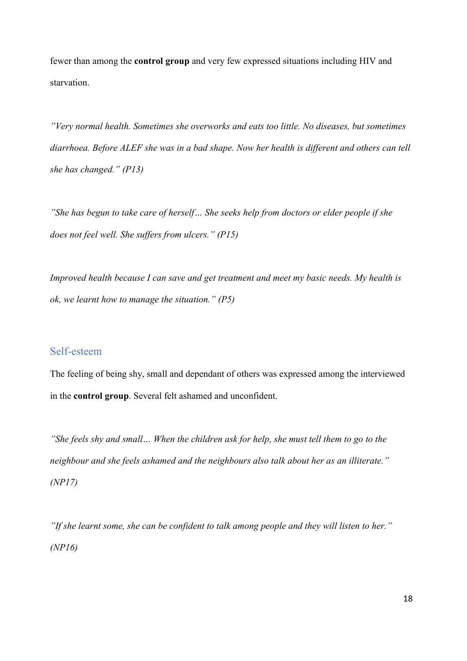fewer than among the **control group** and very few expressed situations including HIV and starvation.

*"Very normal health. Sometimes she overworks and eats too little. No diseases, but sometimes diarrhoea. Before ALEF she was in a bad shape. Now her health is different and others can tell she has changed." (P13)*

*"She has begun to take care of herself… She seeks help from doctors or elder people if she does not feel well. She suffers from ulcers." (P15)*

*Improved health because I can save and get treatment and meet my basic needs. My health is ok, we learnt how to manage the situation." (P5)* 

### Self-esteem

The feeling of being shy, small and dependant of others was expressed among the interviewed in the **control group**. Several felt ashamed and unconfident.

*"She feels shy and small… When the children ask for help, she must tell them to go to the neighbour and she feels ashamed and the neighbours also talk about her as an illiterate." (NP17)*

*"If she learnt some, she can be confident to talk among people and they will listen to her." (NP16)*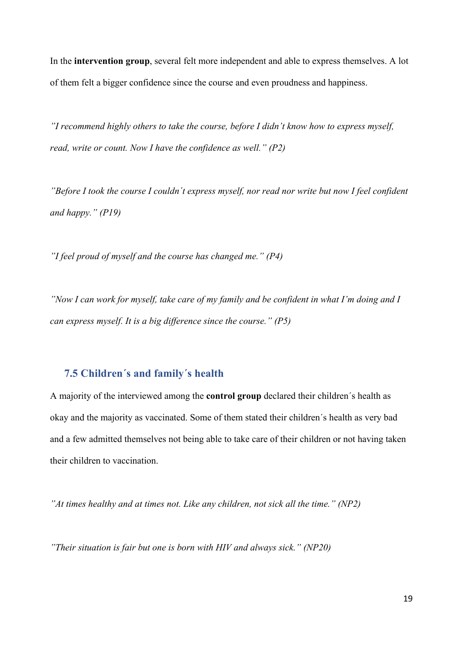In the **intervention group**, several felt more independent and able to express themselves. A lot of them felt a bigger confidence since the course and even proudness and happiness.

*"I recommend highly others to take the course, before I didn't know how to express myself, read, write or count. Now I have the confidence as well." (P2)*

*"Before I took the course I couldn´t express myself, nor read nor write but now I feel confident and happy." (P19)*

*"I feel proud of myself and the course has changed me." (P4)*

*"Now I can work for myself, take care of my family and be confident in what I'm doing and I can express myself. It is a big difference since the course." (P5)*

#### **7.5 Children´s and family´s health**

A majority of the interviewed among the **control group** declared their children´s health as okay and the majority as vaccinated. Some of them stated their children´s health as very bad and a few admitted themselves not being able to take care of their children or not having taken their children to vaccination.

*"At times healthy and at times not. Like any children, not sick all the time." (NP2)*

*"Their situation is fair but one is born with HIV and always sick." (NP20)*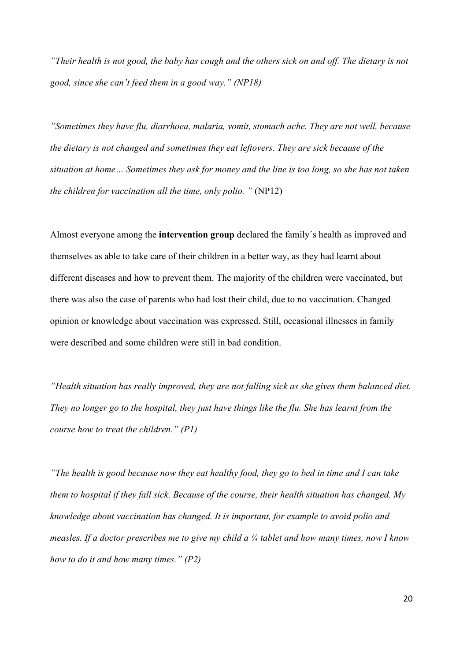*"Their health is not good, the baby has cough and the others sick on and off. The dietary is not good, since she can't feed them in a good way." (NP18)*

*"Sometimes they have flu, diarrhoea, malaria, vomit, stomach ache. They are not well, because the dietary is not changed and sometimes they eat leftovers. They are sick because of the situation at home… Sometimes they ask for money and the line is too long, so she has not taken the children for vaccination all the time, only polio. "* (NP12)

Almost everyone among the **intervention group** declared the family´s health as improved and themselves as able to take care of their children in a better way, as they had learnt about different diseases and how to prevent them. The majority of the children were vaccinated, but there was also the case of parents who had lost their child, due to no vaccination. Changed opinion or knowledge about vaccination was expressed. Still, occasional illnesses in family were described and some children were still in bad condition.

*"Health situation has really improved, they are not falling sick as she gives them balanced diet. They no longer go to the hospital, they just have things like the flu. She has learnt from the course how to treat the children." (P1)*

*"The health is good because now they eat healthy food, they go to bed in time and I can take them to hospital if they fall sick. Because of the course, their health situation has changed. My knowledge about vaccination has changed. It is important, for example to avoid polio and measles. If a doctor prescribes me to give my child a ¼ tablet and how many times, now I know how to do it and how many times." (P2)*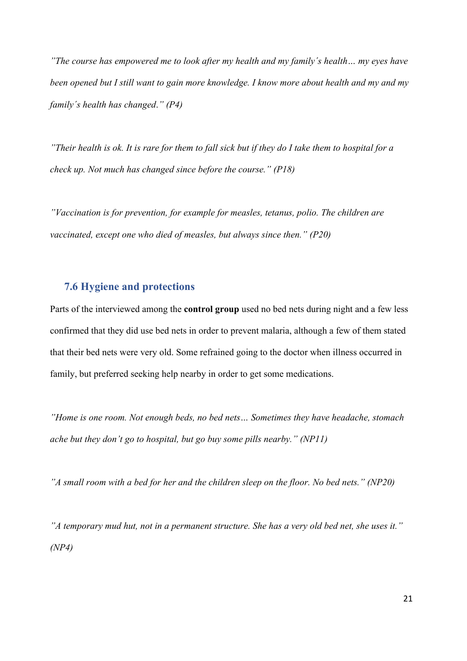*"The course has empowered me to look after my health and my family´s health… my eyes have been opened but I still want to gain more knowledge. I know more about health and my and my family´s health has changed*.*" (P4)*

*"Their health is ok. It is rare for them to fall sick but if they do I take them to hospital for a check up. Not much has changed since before the course." (P18)*

*"Vaccination is for prevention, for example for measles, tetanus, polio. The children are vaccinated, except one who died of measles, but always since then." (P20)*

#### **7.6 Hygiene and protections**

Parts of the interviewed among the **control group** used no bed nets during night and a few less confirmed that they did use bed nets in order to prevent malaria, although a few of them stated that their bed nets were very old. Some refrained going to the doctor when illness occurred in family, but preferred seeking help nearby in order to get some medications.

*"Home is one room. Not enough beds, no bed nets… Sometimes they have headache, stomach ache but they don't go to hospital, but go buy some pills nearby." (NP11)*

*"A small room with a bed for her and the children sleep on the floor. No bed nets." (NP20)*

*"A temporary mud hut, not in a permanent structure. She has a very old bed net, she uses it." (NP4)*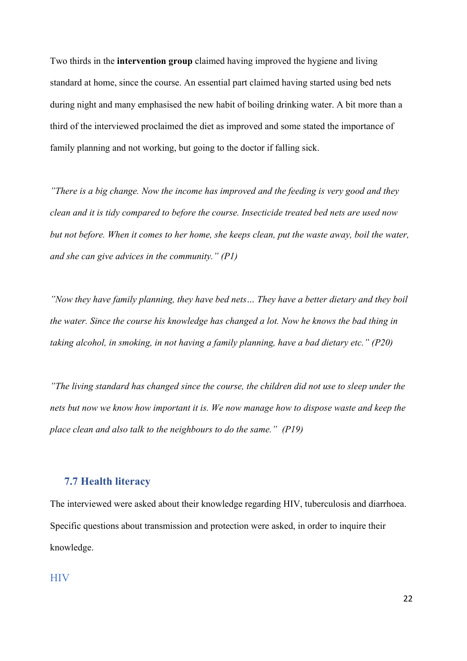Two thirds in the **intervention group** claimed having improved the hygiene and living standard at home, since the course. An essential part claimed having started using bed nets during night and many emphasised the new habit of boiling drinking water. A bit more than a third of the interviewed proclaimed the diet as improved and some stated the importance of family planning and not working, but going to the doctor if falling sick.

*"There is a big change. Now the income has improved and the feeding is very good and they clean and it is tidy compared to before the course. Insecticide treated bed nets are used now but not before. When it comes to her home, she keeps clean, put the waste away, boil the water, and she can give advices in the community." (P1)*

*"Now they have family planning, they have bed nets… They have a better dietary and they boil the water. Since the course his knowledge has changed a lot. Now he knows the bad thing in taking alcohol, in smoking, in not having a family planning, have a bad dietary etc." (P20)*

*"The living standard has changed since the course, the children did not use to sleep under the nets but now we know how important it is. We now manage how to dispose waste and keep the place clean and also talk to the neighbours to do the same." (P19)*

### **7.7 Health literacy**

The interviewed were asked about their knowledge regarding HIV, tuberculosis and diarrhoea. Specific questions about transmission and protection were asked, in order to inquire their knowledge.

#### **HIV**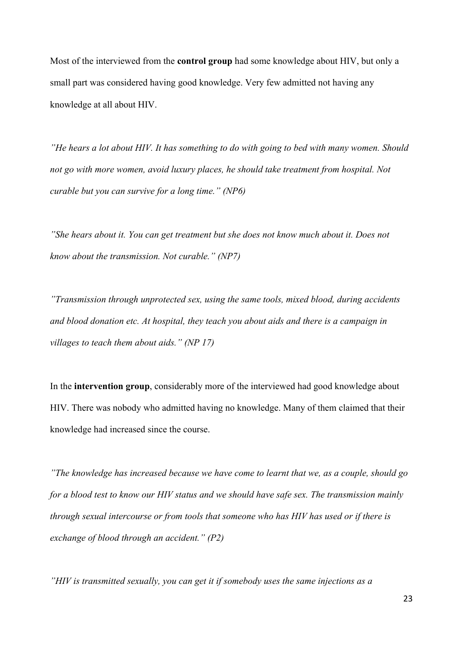Most of the interviewed from the **control group** had some knowledge about HIV, but only a small part was considered having good knowledge. Very few admitted not having any knowledge at all about HIV.

*"He hears a lot about HIV. It has something to do with going to bed with many women. Should not go with more women, avoid luxury places, he should take treatment from hospital. Not curable but you can survive for a long time." (NP6)*

*"She hears about it. You can get treatment but she does not know much about it. Does not know about the transmission. Not curable." (NP7)*

*"Transmission through unprotected sex, using the same tools, mixed blood, during accidents and blood donation etc. At hospital, they teach you about aids and there is a campaign in villages to teach them about aids." (NP 17)* 

In the **intervention group**, considerably more of the interviewed had good knowledge about HIV. There was nobody who admitted having no knowledge. Many of them claimed that their knowledge had increased since the course.

*"The knowledge has increased because we have come to learnt that we, as a couple, should go for a blood test to know our HIV status and we should have safe sex. The transmission mainly through sexual intercourse or from tools that someone who has HIV has used or if there is exchange of blood through an accident." (P2)*

*"HIV is transmitted sexually, you can get it if somebody uses the same injections as a*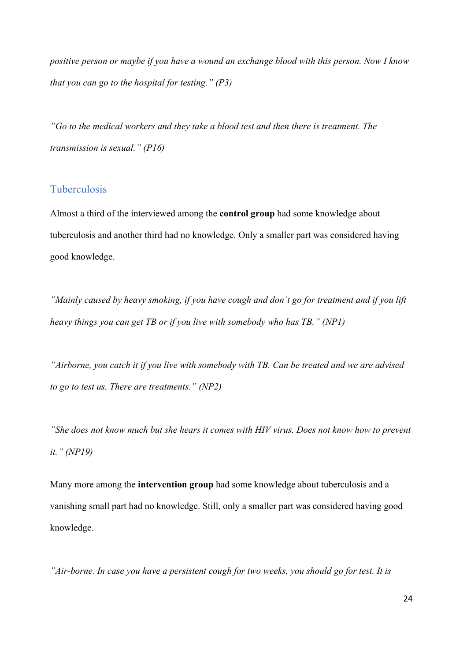*positive person or maybe if you have a wound an exchange blood with this person. Now I know that you can go to the hospital for testing." (P3)*

*"Go to the medical workers and they take a blood test and then there is treatment. The transmission is sexual." (P16)*

## **Tuberculosis**

Almost a third of the interviewed among the **control group** had some knowledge about tuberculosis and another third had no knowledge. Only a smaller part was considered having good knowledge.

*"Mainly caused by heavy smoking, if you have cough and don't go for treatment and if you lift heavy things you can get TB or if you live with somebody who has TB." (NP1)*

*"Airborne, you catch it if you live with somebody with TB. Can be treated and we are advised to go to test us. There are treatments." (NP2)*

*"She does not know much but she hears it comes with HIV virus. Does not know how to prevent it." (NP19)*

Many more among the **intervention group** had some knowledge about tuberculosis and a vanishing small part had no knowledge. Still, only a smaller part was considered having good knowledge.

*"Air-borne. In case you have a persistent cough for two weeks, you should go for test. It is*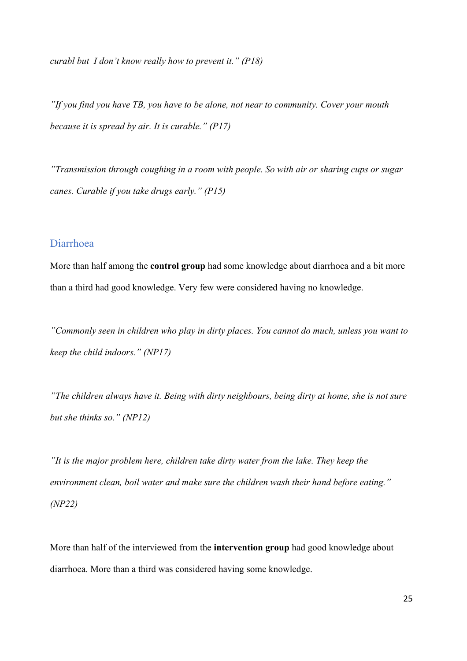*curabl but I don't know really how to prevent it." (P18)*

*"If you find you have TB, you have to be alone, not near to community. Cover your mouth because it is spread by air. It is curable." (P17)*

*"Transmission through coughing in a room with people. So with air or sharing cups or sugar canes. Curable if you take drugs early." (P15)*

#### Diarrhoea

More than half among the **control group** had some knowledge about diarrhoea and a bit more than a third had good knowledge. Very few were considered having no knowledge.

*"Commonly seen in children who play in dirty places. You cannot do much, unless you want to keep the child indoors." (NP17)*

*"The children always have it. Being with dirty neighbours, being dirty at home, she is not sure but she thinks so." (NP12)*

*"It is the major problem here, children take dirty water from the lake. They keep the environment clean, boil water and make sure the children wash their hand before eating." (NP22)*

More than half of the interviewed from the **intervention group** had good knowledge about diarrhoea. More than a third was considered having some knowledge.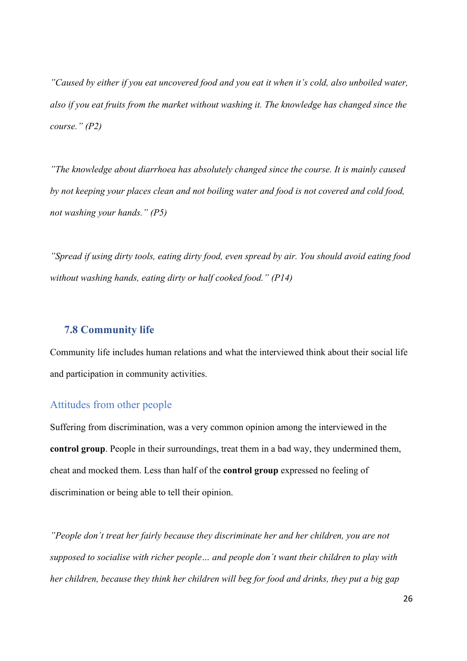*"Caused by either if you eat uncovered food and you eat it when it's cold, also unboiled water, also if you eat fruits from the market without washing it. The knowledge has changed since the course." (P2)*

*"The knowledge about diarrhoea has absolutely changed since the course. It is mainly caused by not keeping your places clean and not boiling water and food is not covered and cold food, not washing your hands." (P5)*

*"Spread if using dirty tools, eating dirty food, even spread by air. You should avoid eating food without washing hands, eating dirty or half cooked food." (P14)*

#### **7.8 Community life**

Community life includes human relations and what the interviewed think about their social life and participation in community activities.

#### Attitudes from other people

Suffering from discrimination, was a very common opinion among the interviewed in the **control group**. People in their surroundings, treat them in a bad way, they undermined them, cheat and mocked them. Less than half of the **control group** expressed no feeling of discrimination or being able to tell their opinion.

*"People don´t treat her fairly because they discriminate her and her children, you are not supposed to socialise with richer people… and people don´t want their children to play with her children, because they think her children will beg for food and drinks, they put a big gap*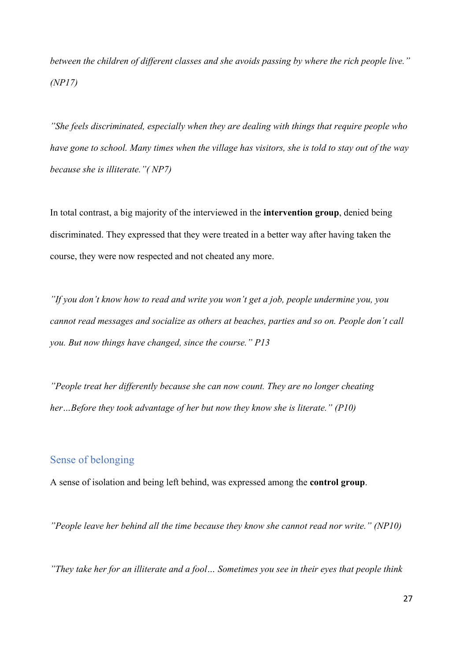*between the children of different classes and she avoids passing by where the rich people live." (NP17)*

*"She feels discriminated, especially when they are dealing with things that require people who have gone to school. Many times when the village has visitors, she is told to stay out of the way because she is illiterate."( NP7)*

In total contrast, a big majority of the interviewed in the **intervention group**, denied being discriminated. They expressed that they were treated in a better way after having taken the course, they were now respected and not cheated any more.

*"If you don't know how to read and write you won't get a job, people undermine you, you cannot read messages and socialize as others at beaches, parties and so on. People don´t call you. But now things have changed, since the course." P13*

*"People treat her differently because she can now count. They are no longer cheating her…Before they took advantage of her but now they know she is literate." (P10)* 

## Sense of belonging

A sense of isolation and being left behind, was expressed among the **control group**.

*"People leave her behind all the time because they know she cannot read nor write." (NP10)*

*"They take her for an illiterate and a fool… Sometimes you see in their eyes that people think*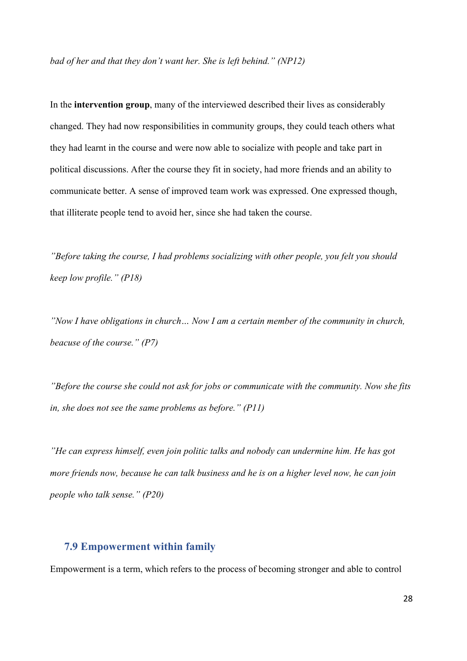*bad of her and that they don't want her. She is left behind." (NP12)*

In the **intervention group**, many of the interviewed described their lives as considerably changed. They had now responsibilities in community groups, they could teach others what they had learnt in the course and were now able to socialize with people and take part in political discussions. After the course they fit in society, had more friends and an ability to communicate better. A sense of improved team work was expressed. One expressed though, that illiterate people tend to avoid her, since she had taken the course.

*"Before taking the course, I had problems socializing with other people, you felt you should keep low profile." (P18)*

*"Now I have obligations in church… Now I am a certain member of the community in church, beacuse of the course." (P7)*

*"Before the course she could not ask for jobs or communicate with the community. Now she fits in, she does not see the same problems as before." (P11)* 

*"He can express himself, even join politic talks and nobody can undermine him. He has got more friends now, because he can talk business and he is on a higher level now, he can join people who talk sense." (P20)*

#### **7.9 Empowerment within family**

Empowerment is a term, which refers to the process of becoming stronger and able to control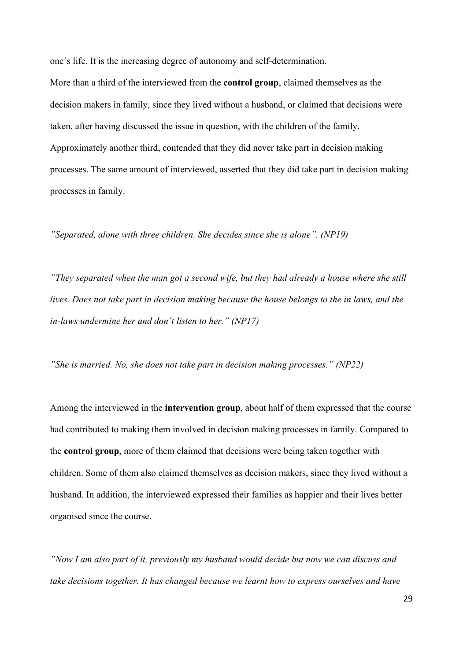one´s life. It is the increasing degree of autonomy and self-determination.

More than a third of the interviewed from the **control group**, claimed themselves as the decision makers in family, since they lived without a husband, or claimed that decisions were taken, after having discussed the issue in question, with the children of the family. Approximately another third, contended that they did never take part in decision making processes. The same amount of interviewed, asserted that they did take part in decision making processes in family.

*"Separated, alone with three children. She decides since she is alone". (NP19)*

*"They separated when the man got a second wife, but they had already a house where she still lives. Does not take part in decision making because the house belongs to the in laws, and the in-laws undermine her and don´t listen to her." (NP17)*

*"She is married. No, she does not take part in decision making processes." (NP22)*

Among the interviewed in the **intervention group**, about half of them expressed that the course had contributed to making them involved in decision making processes in family. Compared to the **control group**, more of them claimed that decisions were being taken together with children. Some of them also claimed themselves as decision makers, since they lived without a husband. In addition, the interviewed expressed their families as happier and their lives better organised since the course.

*"Now I am also part of it, previously my husband would decide but now we can discuss and take decisions together. It has changed because we learnt how to express ourselves and have*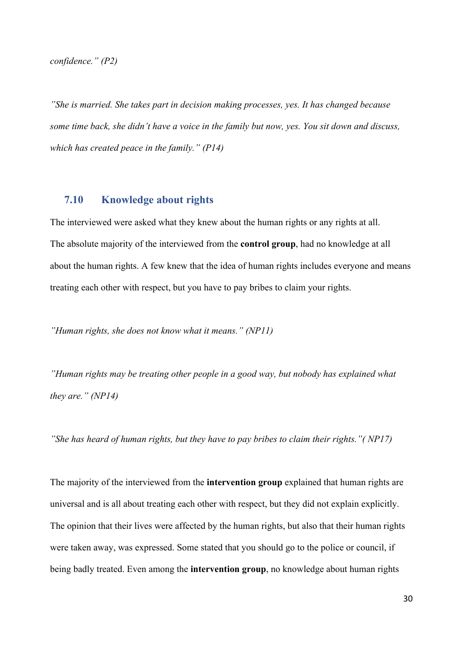*confidence." (P2)*

*"She is married. She takes part in decision making processes, yes. It has changed because some time back, she didn't have a voice in the family but now, yes. You sit down and discuss, which has created peace in the family." (P14)*

### **7.10 Knowledge about rights**

The interviewed were asked what they knew about the human rights or any rights at all. The absolute majority of the interviewed from the **control group**, had no knowledge at all about the human rights. A few knew that the idea of human rights includes everyone and means treating each other with respect, but you have to pay bribes to claim your rights.

*"Human rights, she does not know what it means." (NP11)*

*"Human rights may be treating other people in a good way, but nobody has explained what they are." (NP14)*

*"She has heard of human rights, but they have to pay bribes to claim their rights."( NP17)*

The majority of the interviewed from the **intervention group** explained that human rights are universal and is all about treating each other with respect, but they did not explain explicitly. The opinion that their lives were affected by the human rights, but also that their human rights were taken away, was expressed. Some stated that you should go to the police or council, if being badly treated. Even among the **intervention group**, no knowledge about human rights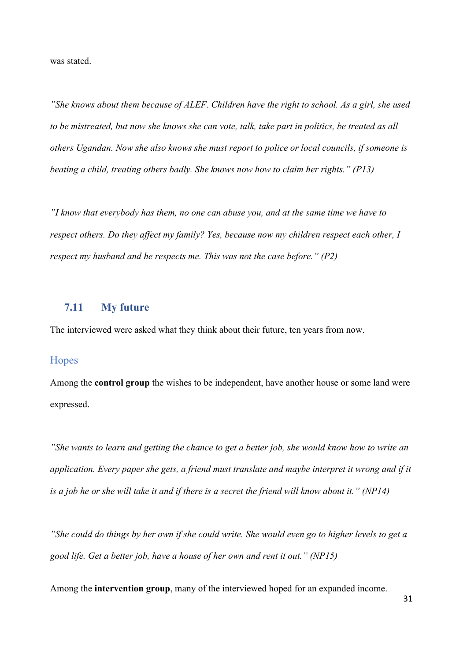was stated.

*"She knows about them because of ALEF. Children have the right to school. As a girl, she used to be mistreated, but now she knows she can vote, talk, take part in politics, be treated as all others Ugandan. Now she also knows she must report to police or local councils, if someone is beating a child, treating others badly. She knows now how to claim her rights." (P13)*

*"I know that everybody has them, no one can abuse you, and at the same time we have to respect others. Do they affect my family? Yes, because now my children respect each other, I respect my husband and he respects me. This was not the case before." (P2)*

#### **7.11 My future**

The interviewed were asked what they think about their future, ten years from now.

#### **Hopes**

Among the **control group** the wishes to be independent, have another house or some land were expressed.

*"She wants to learn and getting the chance to get a better job, she would know how to write an application. Every paper she gets, a friend must translate and maybe interpret it wrong and if it is a job he or she will take it and if there is a secret the friend will know about it." (NP14)*

*"She could do things by her own if she could write. She would even go to higher levels to get a good life. Get a better job, have a house of her own and rent it out." (NP15)*

Among the **intervention group**, many of the interviewed hoped for an expanded income.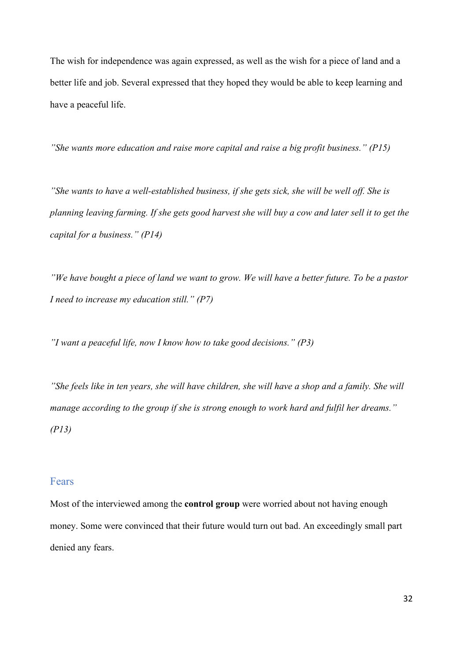The wish for independence was again expressed, as well as the wish for a piece of land and a better life and job. Several expressed that they hoped they would be able to keep learning and have a peaceful life.

*"She wants more education and raise more capital and raise a big profit business." (P15)*

*"She wants to have a well-established business, if she gets sick, she will be well off. She is planning leaving farming. If she gets good harvest she will buy a cow and later sell it to get the capital for a business." (P14)*

*"We have bought a piece of land we want to grow. We will have a better future. To be a pastor I need to increase my education still." (P7)*

*"I want a peaceful life, now I know how to take good decisions." (P3)*

*"She feels like in ten years, she will have children, she will have a shop and a family. She will manage according to the group if she is strong enough to work hard and fulfil her dreams." (P13)*

#### Fears

Most of the interviewed among the **control group** were worried about not having enough money. Some were convinced that their future would turn out bad. An exceedingly small part denied any fears.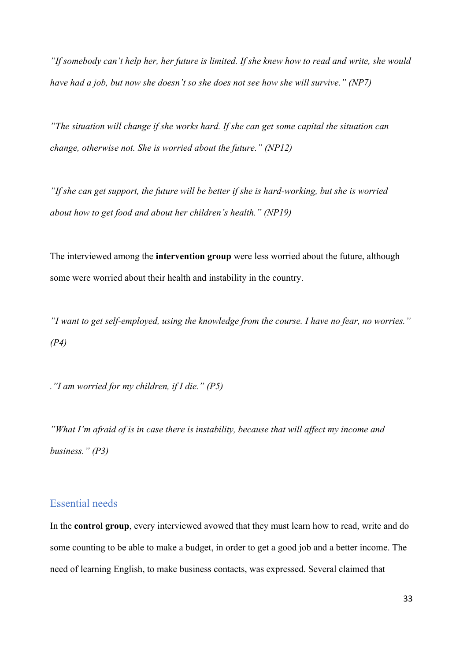*"If somebody can't help her, her future is limited. If she knew how to read and write, she would have had a job, but now she doesn't so she does not see how she will survive." (NP7)*

*"The situation will change if she works hard. If she can get some capital the situation can change, otherwise not. She is worried about the future." (NP12)*

*"If she can get support, the future will be better if she is hard-working, but she is worried about how to get food and about her children's health." (NP19)*

The interviewed among the **intervention group** were less worried about the future, although some were worried about their health and instability in the country.

*"I want to get self-employed, using the knowledge from the course. I have no fear, no worries." (P4)*

*."I am worried for my children, if I die." (P5)*

*"What I'm afraid of is in case there is instability, because that will affect my income and business." (P3)*

#### Essential needs

In the **control group**, every interviewed avowed that they must learn how to read, write and do some counting to be able to make a budget, in order to get a good job and a better income. The need of learning English, to make business contacts, was expressed. Several claimed that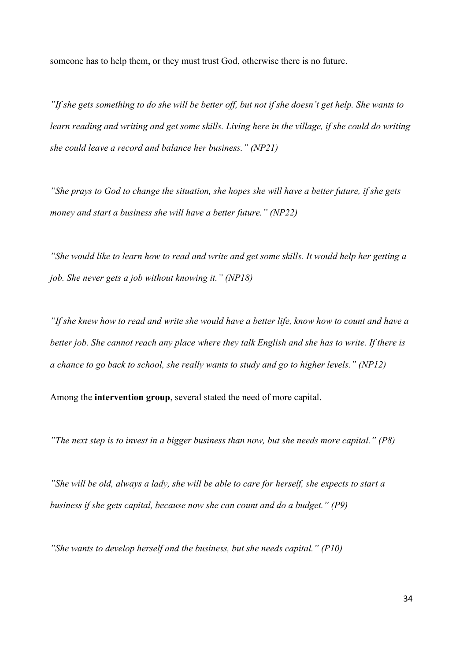someone has to help them, or they must trust God, otherwise there is no future.

*"If she gets something to do she will be better off, but not if she doesn't get help. She wants to*  learn reading and writing and get some skills. Living here in the village, if she could do writing *she could leave a record and balance her business." (NP21)*

*"She prays to God to change the situation, she hopes she will have a better future, if she gets money and start a business she will have a better future." (NP22)*

*"She would like to learn how to read and write and get some skills. It would help her getting a job. She never gets a job without knowing it." (NP18)*

*"If she knew how to read and write she would have a better life, know how to count and have a better job. She cannot reach any place where they talk English and she has to write. If there is a chance to go back to school, she really wants to study and go to higher levels." (NP12)*

Among the **intervention group**, several stated the need of more capital.

*"The next step is to invest in a bigger business than now, but she needs more capital." (P8)*

*"She will be old, always a lady, she will be able to care for herself, she expects to start a business if she gets capital, because now she can count and do a budget." (P9)*

*"She wants to develop herself and the business, but she needs capital." (P10)*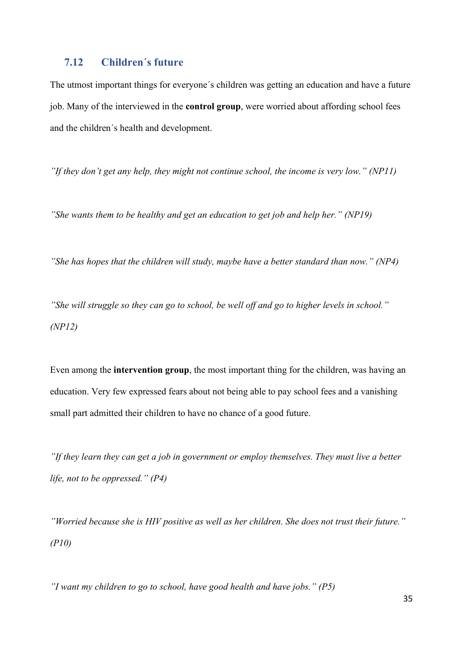### **7.12 Children´s future**

The utmost important things for everyone´s children was getting an education and have a future job. Many of the interviewed in the **control group**, were worried about affording school fees and the children´s health and development.

*"If they don't get any help, they might not continue school, the income is very low." (NP11)*

*"She wants them to be healthy and get an education to get job and help her." (NP19)*

*"She has hopes that the children will study, maybe have a better standard than now." (NP4)*

*"She will struggle so they can go to school, be well off and go to higher levels in school." (NP12)*

Even among the **intervention group**, the most important thing for the children, was having an education. Very few expressed fears about not being able to pay school fees and a vanishing small part admitted their children to have no chance of a good future.

*"If they learn they can get a job in government or employ themselves. They must live a better life, not to be oppressed." (P4)*

*"Worried because she is HIV positive as well as her children. She does not trust their future." (P10)*

*"I want my children to go to school, have good health and have jobs." (P5)*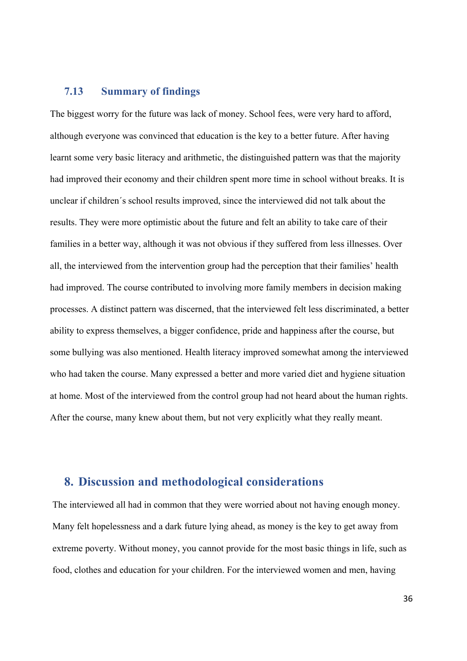### **7.13 Summary of findings**

The biggest worry for the future was lack of money. School fees, were very hard to afford, although everyone was convinced that education is the key to a better future. After having learnt some very basic literacy and arithmetic, the distinguished pattern was that the majority had improved their economy and their children spent more time in school without breaks. It is unclear if children´s school results improved, since the interviewed did not talk about the results. They were more optimistic about the future and felt an ability to take care of their families in a better way, although it was not obvious if they suffered from less illnesses. Over all, the interviewed from the intervention group had the perception that their families' health had improved. The course contributed to involving more family members in decision making processes. A distinct pattern was discerned, that the interviewed felt less discriminated, a better ability to express themselves, a bigger confidence, pride and happiness after the course, but some bullying was also mentioned. Health literacy improved somewhat among the interviewed who had taken the course. Many expressed a better and more varied diet and hygiene situation at home. Most of the interviewed from the control group had not heard about the human rights. After the course, many knew about them, but not very explicitly what they really meant.

## **8. Discussion and methodological considerations**

The interviewed all had in common that they were worried about not having enough money. Many felt hopelessness and a dark future lying ahead, as money is the key to get away from extreme poverty. Without money, you cannot provide for the most basic things in life, such as food, clothes and education for your children. For the interviewed women and men, having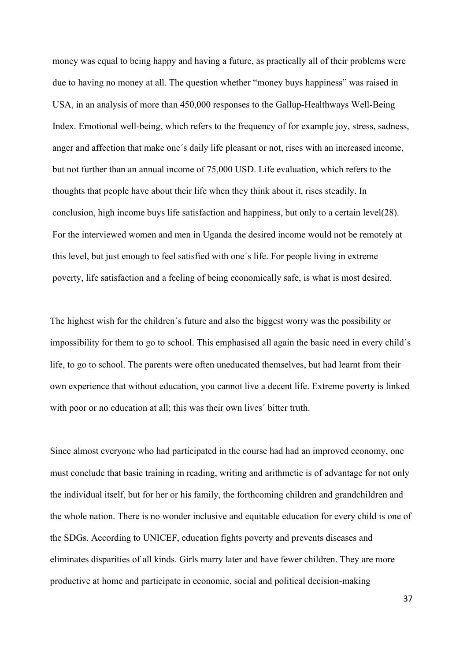money was equal to being happy and having a future, as practically all of their problems were due to having no money at all. The question whether "money buys happiness" was raised in USA, in an analysis of more than 450,000 responses to the Gallup-Healthways Well-Being Index. Emotional well-being, which refers to the frequency of for example joy, stress, sadness, anger and affection that make one´s daily life pleasant or not, rises with an increased income, but not further than an annual income of 75,000 USD. Life evaluation, which refers to the thoughts that people have about their life when they think about it, rises steadily. In conclusion, high income buys life satisfaction and happiness, but only to a certain level(28). For the interviewed women and men in Uganda the desired income would not be remotely at this level, but just enough to feel satisfied with one´s life. For people living in extreme poverty, life satisfaction and a feeling of being economically safe, is what is most desired.

The highest wish for the children´s future and also the biggest worry was the possibility or impossibility for them to go to school. This emphasised all again the basic need in every child´s life, to go to school. The parents were often uneducated themselves, but had learnt from their own experience that without education, you cannot live a decent life. Extreme poverty is linked with poor or no education at all; this was their own lives' bitter truth.

Since almost everyone who had participated in the course had had an improved economy, one must conclude that basic training in reading, writing and arithmetic is of advantage for not only the individual itself, but for her or his family, the forthcoming children and grandchildren and the whole nation. There is no wonder inclusive and equitable education for every child is one of the SDGs. According to UNICEF, education fights poverty and prevents diseases and eliminates disparities of all kinds. Girls marry later and have fewer children. They are more productive at home and participate in economic, social and political decision-making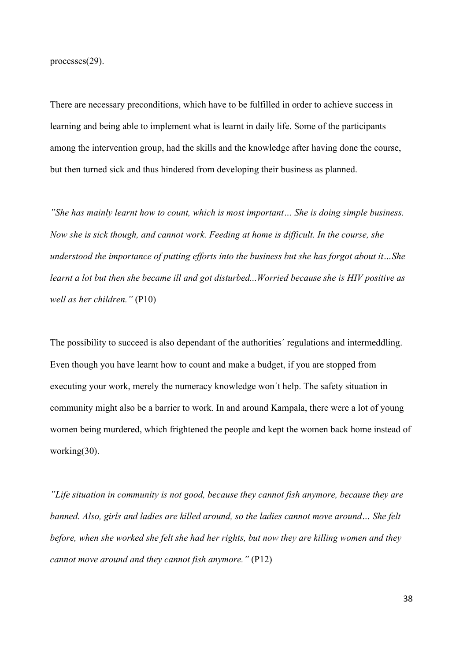processes(29).

There are necessary preconditions, which have to be fulfilled in order to achieve success in learning and being able to implement what is learnt in daily life. Some of the participants among the intervention group, had the skills and the knowledge after having done the course, but then turned sick and thus hindered from developing their business as planned.

*"She has mainly learnt how to count, which is most important… She is doing simple business. Now she is sick though, and cannot work. Feeding at home is difficult. In the course, she understood the importance of putting efforts into the business but she has forgot about it…She learnt a lot but then she became ill and got disturbed...Worried because she is HIV positive as well as her children."* (P10)

The possibility to succeed is also dependant of the authorities´ regulations and intermeddling. Even though you have learnt how to count and make a budget, if you are stopped from executing your work, merely the numeracy knowledge won´t help. The safety situation in community might also be a barrier to work. In and around Kampala, there were a lot of young women being murdered, which frightened the people and kept the women back home instead of working(30).

*"Life situation in community is not good, because they cannot fish anymore, because they are banned. Also, girls and ladies are killed around, so the ladies cannot move around… She felt before, when she worked she felt she had her rights, but now they are killing women and they cannot move around and they cannot fish anymore."* (P12)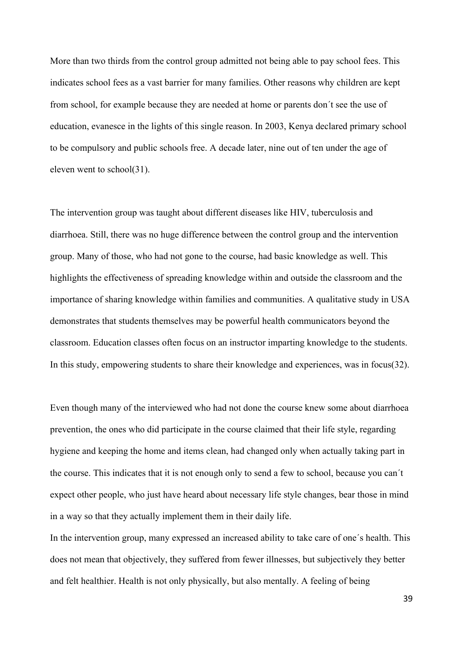More than two thirds from the control group admitted not being able to pay school fees. This indicates school fees as a vast barrier for many families. Other reasons why children are kept from school, for example because they are needed at home or parents don´t see the use of education, evanesce in the lights of this single reason. In 2003, Kenya declared primary school to be compulsory and public schools free. A decade later, nine out of ten under the age of eleven went to school(31).

The intervention group was taught about different diseases like HIV, tuberculosis and diarrhoea. Still, there was no huge difference between the control group and the intervention group. Many of those, who had not gone to the course, had basic knowledge as well. This highlights the effectiveness of spreading knowledge within and outside the classroom and the importance of sharing knowledge within families and communities. A qualitative study in USA demonstrates that students themselves may be powerful health communicators beyond the classroom. Education classes often focus on an instructor imparting knowledge to the students. In this study, empowering students to share their knowledge and experiences, was in focus(32).

Even though many of the interviewed who had not done the course knew some about diarrhoea prevention, the ones who did participate in the course claimed that their life style, regarding hygiene and keeping the home and items clean, had changed only when actually taking part in the course. This indicates that it is not enough only to send a few to school, because you can´t expect other people, who just have heard about necessary life style changes, bear those in mind in a way so that they actually implement them in their daily life.

In the intervention group, many expressed an increased ability to take care of one´s health. This does not mean that objectively, they suffered from fewer illnesses, but subjectively they better and felt healthier. Health is not only physically, but also mentally. A feeling of being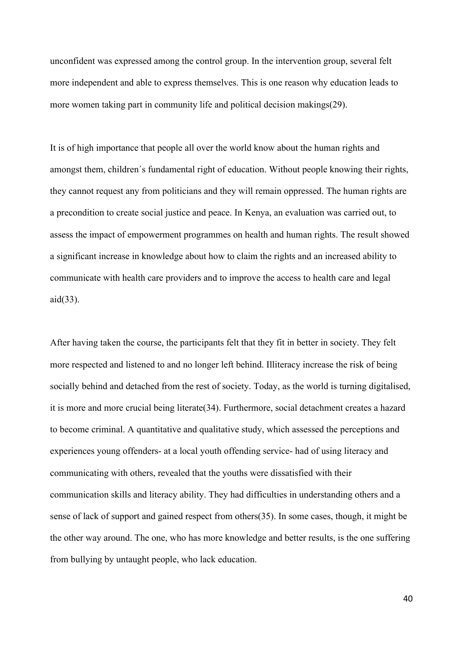unconfident was expressed among the control group. In the intervention group, several felt more independent and able to express themselves. This is one reason why education leads to more women taking part in community life and political decision makings(29).

It is of high importance that people all over the world know about the human rights and amongst them, children´s fundamental right of education. Without people knowing their rights, they cannot request any from politicians and they will remain oppressed. The human rights are a precondition to create social justice and peace. In Kenya, an evaluation was carried out, to assess the impact of empowerment programmes on health and human rights. The result showed a significant increase in knowledge about how to claim the rights and an increased ability to communicate with health care providers and to improve the access to health care and legal aid(33).

After having taken the course, the participants felt that they fit in better in society. They felt more respected and listened to and no longer left behind. Illiteracy increase the risk of being socially behind and detached from the rest of society. Today, as the world is turning digitalised, it is more and more crucial being literate(34). Furthermore, social detachment creates a hazard to become criminal. A quantitative and qualitative study, which assessed the perceptions and experiences young offenders- at a local youth offending service- had of using literacy and communicating with others, revealed that the youths were dissatisfied with their communication skills and literacy ability. They had difficulties in understanding others and a sense of lack of support and gained respect from others(35). In some cases, though, it might be the other way around. The one, who has more knowledge and better results, is the one suffering from bullying by untaught people, who lack education.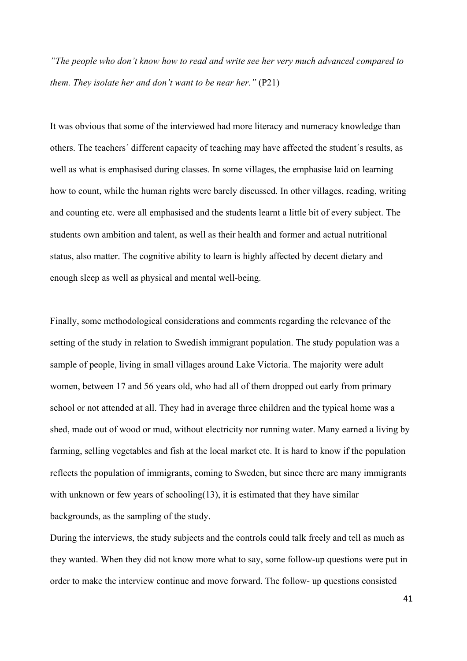*"The people who don't know how to read and write see her very much advanced compared to them. They isolate her and don't want to be near her."* (P21)

It was obvious that some of the interviewed had more literacy and numeracy knowledge than others. The teachers´ different capacity of teaching may have affected the student´s results, as well as what is emphasised during classes. In some villages, the emphasise laid on learning how to count, while the human rights were barely discussed. In other villages, reading, writing and counting etc. were all emphasised and the students learnt a little bit of every subject. The students own ambition and talent, as well as their health and former and actual nutritional status, also matter. The cognitive ability to learn is highly affected by decent dietary and enough sleep as well as physical and mental well-being.

Finally, some methodological considerations and comments regarding the relevance of the setting of the study in relation to Swedish immigrant population. The study population was a sample of people, living in small villages around Lake Victoria. The majority were adult women, between 17 and 56 years old, who had all of them dropped out early from primary school or not attended at all. They had in average three children and the typical home was a shed, made out of wood or mud, without electricity nor running water. Many earned a living by farming, selling vegetables and fish at the local market etc. It is hard to know if the population reflects the population of immigrants, coming to Sweden, but since there are many immigrants with unknown or few years of schooling(13), it is estimated that they have similar backgrounds, as the sampling of the study.

During the interviews, the study subjects and the controls could talk freely and tell as much as they wanted. When they did not know more what to say, some follow-up questions were put in order to make the interview continue and move forward. The follow- up questions consisted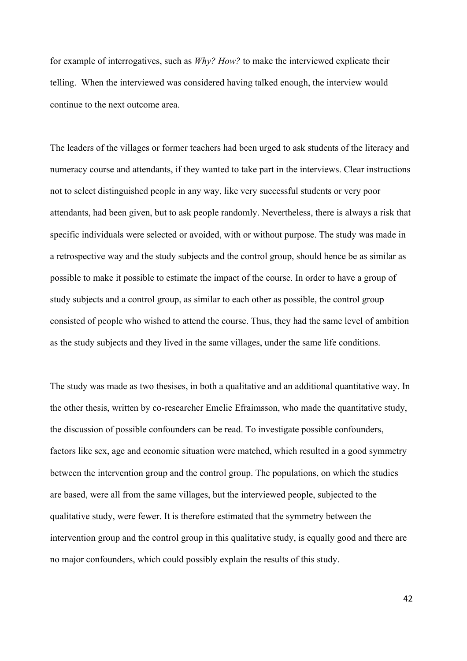for example of interrogatives, such as *Why? How?* to make the interviewed explicate their telling. When the interviewed was considered having talked enough, the interview would continue to the next outcome area.

The leaders of the villages or former teachers had been urged to ask students of the literacy and numeracy course and attendants, if they wanted to take part in the interviews. Clear instructions not to select distinguished people in any way, like very successful students or very poor attendants, had been given, but to ask people randomly. Nevertheless, there is always a risk that specific individuals were selected or avoided, with or without purpose. The study was made in a retrospective way and the study subjects and the control group, should hence be as similar as possible to make it possible to estimate the impact of the course. In order to have a group of study subjects and a control group, as similar to each other as possible, the control group consisted of people who wished to attend the course. Thus, they had the same level of ambition as the study subjects and they lived in the same villages, under the same life conditions.

The study was made as two thesises, in both a qualitative and an additional quantitative way. In the other thesis, written by co-researcher Emelie Efraimsson, who made the quantitative study, the discussion of possible confounders can be read. To investigate possible confounders, factors like sex, age and economic situation were matched, which resulted in a good symmetry between the intervention group and the control group. The populations, on which the studies are based, were all from the same villages, but the interviewed people, subjected to the qualitative study, were fewer. It is therefore estimated that the symmetry between the intervention group and the control group in this qualitative study, is equally good and there are no major confounders, which could possibly explain the results of this study.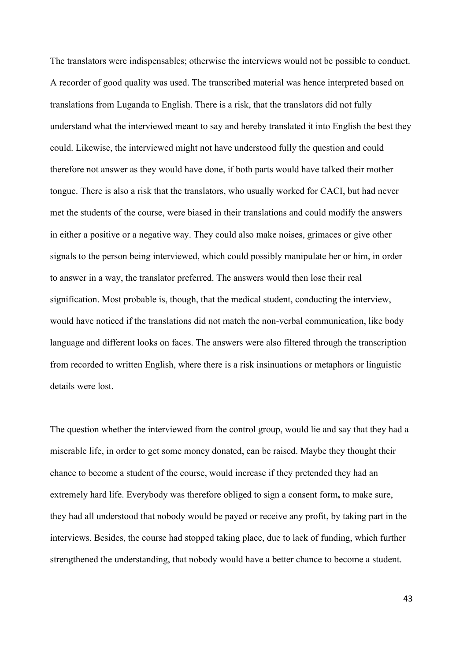The translators were indispensables; otherwise the interviews would not be possible to conduct. A recorder of good quality was used. The transcribed material was hence interpreted based on translations from Luganda to English. There is a risk, that the translators did not fully understand what the interviewed meant to say and hereby translated it into English the best they could. Likewise, the interviewed might not have understood fully the question and could therefore not answer as they would have done, if both parts would have talked their mother tongue. There is also a risk that the translators, who usually worked for CACI, but had never met the students of the course, were biased in their translations and could modify the answers in either a positive or a negative way. They could also make noises, grimaces or give other signals to the person being interviewed, which could possibly manipulate her or him, in order to answer in a way, the translator preferred. The answers would then lose their real signification. Most probable is, though, that the medical student, conducting the interview, would have noticed if the translations did not match the non-verbal communication, like body language and different looks on faces. The answers were also filtered through the transcription from recorded to written English, where there is a risk insinuations or metaphors or linguistic details were lost.

The question whether the interviewed from the control group, would lie and say that they had a miserable life, in order to get some money donated, can be raised. Maybe they thought their chance to become a student of the course, would increase if they pretended they had an extremely hard life. Everybody was therefore obliged to sign a consent form**,** to make sure, they had all understood that nobody would be payed or receive any profit, by taking part in the interviews. Besides, the course had stopped taking place, due to lack of funding, which further strengthened the understanding, that nobody would have a better chance to become a student.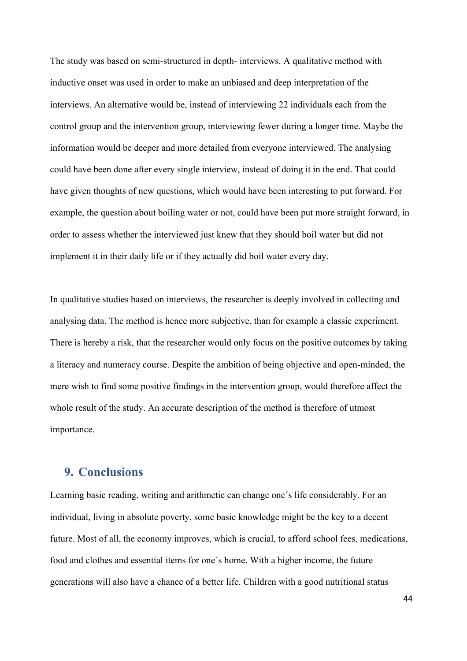The study was based on semi-structured in depth- interviews. A qualitative method with inductive onset was used in order to make an unbiased and deep interpretation of the interviews. An alternative would be, instead of interviewing 22 individuals each from the control group and the intervention group, interviewing fewer during a longer time. Maybe the information would be deeper and more detailed from everyone interviewed. The analysing could have been done after every single interview, instead of doing it in the end. That could have given thoughts of new questions, which would have been interesting to put forward. For example, the question about boiling water or not, could have been put more straight forward, in order to assess whether the interviewed just knew that they should boil water but did not implement it in their daily life or if they actually did boil water every day.

In qualitative studies based on interviews, the researcher is deeply involved in collecting and analysing data. The method is hence more subjective, than for example a classic experiment. There is hereby a risk, that the researcher would only focus on the positive outcomes by taking a literacy and numeracy course. Despite the ambition of being objective and open-minded, the mere wish to find some positive findings in the intervention group, would therefore affect the whole result of the study. An accurate description of the method is therefore of utmost importance.

## **9. Conclusions**

Learning basic reading, writing and arithmetic can change one´s life considerably. For an individual, living in absolute poverty, some basic knowledge might be the key to a decent future. Most of all, the economy improves, which is crucial, to afford school fees, medications, food and clothes and essential items for one´s home. With a higher income, the future generations will also have a chance of a better life. Children with a good nutritional status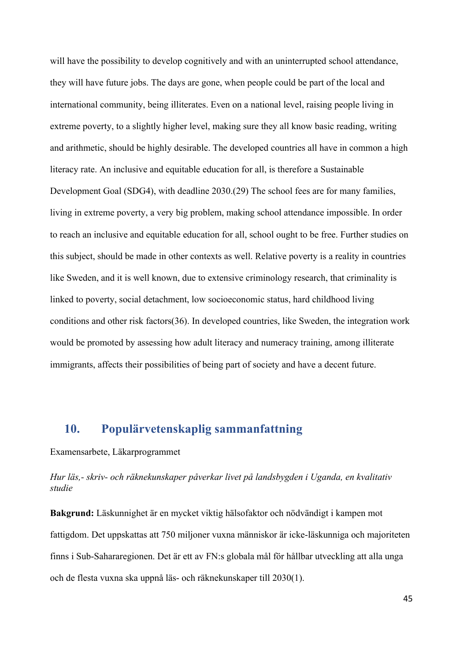will have the possibility to develop cognitively and with an uninterrupted school attendance, they will have future jobs. The days are gone, when people could be part of the local and international community, being illiterates. Even on a national level, raising people living in extreme poverty, to a slightly higher level, making sure they all know basic reading, writing and arithmetic, should be highly desirable. The developed countries all have in common a high literacy rate. An inclusive and equitable education for all, is therefore a Sustainable Development Goal (SDG4), with deadline 2030.(29) The school fees are for many families, living in extreme poverty, a very big problem, making school attendance impossible. In order to reach an inclusive and equitable education for all, school ought to be free. Further studies on this subject, should be made in other contexts as well. Relative poverty is a reality in countries like Sweden, and it is well known, due to extensive criminology research, that criminality is linked to poverty, social detachment, low socioeconomic status, hard childhood living conditions and other risk factors(36). In developed countries, like Sweden, the integration work would be promoted by assessing how adult literacy and numeracy training, among illiterate immigrants, affects their possibilities of being part of society and have a decent future.

## **10. Populärvetenskaplig sammanfattning**

#### Examensarbete, Läkarprogrammet

*Hur läs,- skriv- och räknekunskaper påverkar livet på landsbygden i Uganda, en kvalitativ studie* 

**Bakgrund:** Läskunnighet är en mycket viktig hälsofaktor och nödvändigt i kampen mot fattigdom. Det uppskattas att 750 miljoner vuxna människor är icke-läskunniga och majoriteten finns i Sub-Sahararegionen. Det är ett av FN:s globala mål för hållbar utveckling att alla unga och de flesta vuxna ska uppnå läs- och räknekunskaper till 2030(1).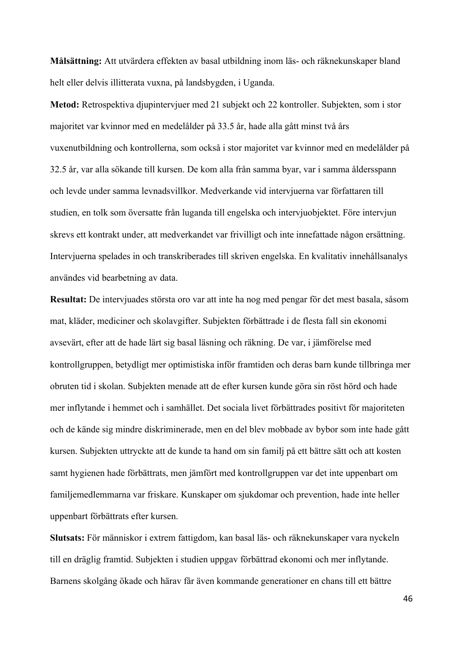**Målsättning:** Att utvärdera effekten av basal utbildning inom läs- och räknekunskaper bland helt eller delvis illitterata vuxna, på landsbygden, i Uganda.

**Metod:** Retrospektiva djupintervjuer med 21 subjekt och 22 kontroller. Subjekten, som i stor majoritet var kvinnor med en medelålder på 33.5 år, hade alla gått minst två års vuxenutbildning och kontrollerna, som också i stor majoritet var kvinnor med en medelålder på 32.5 år, var alla sökande till kursen. De kom alla från samma byar, var i samma åldersspann och levde under samma levnadsvillkor. Medverkande vid intervjuerna var författaren till studien, en tolk som översatte från luganda till engelska och intervjuobjektet. Före intervjun skrevs ett kontrakt under, att medverkandet var frivilligt och inte innefattade någon ersättning. Intervjuerna spelades in och transkriberades till skriven engelska. En kvalitativ innehållsanalys användes vid bearbetning av data.

**Resultat:** De intervjuades största oro var att inte ha nog med pengar för det mest basala, såsom mat, kläder, mediciner och skolavgifter. Subjekten förbättrade i de flesta fall sin ekonomi avsevärt, efter att de hade lärt sig basal läsning och räkning. De var, i jämförelse med kontrollgruppen, betydligt mer optimistiska inför framtiden och deras barn kunde tillbringa mer obruten tid i skolan. Subjekten menade att de efter kursen kunde göra sin röst hörd och hade mer inflytande i hemmet och i samhället. Det sociala livet förbättrades positivt för majoriteten och de kände sig mindre diskriminerade, men en del blev mobbade av bybor som inte hade gått kursen. Subjekten uttryckte att de kunde ta hand om sin familj på ett bättre sätt och att kosten samt hygienen hade förbättrats, men jämfört med kontrollgruppen var det inte uppenbart om familjemedlemmarna var friskare. Kunskaper om sjukdomar och prevention, hade inte heller uppenbart förbättrats efter kursen.

**Slutsats:** För människor i extrem fattigdom, kan basal läs- och räknekunskaper vara nyckeln till en dräglig framtid. Subjekten i studien uppgav förbättrad ekonomi och mer inflytande. Barnens skolgång ökade och härav får även kommande generationer en chans till ett bättre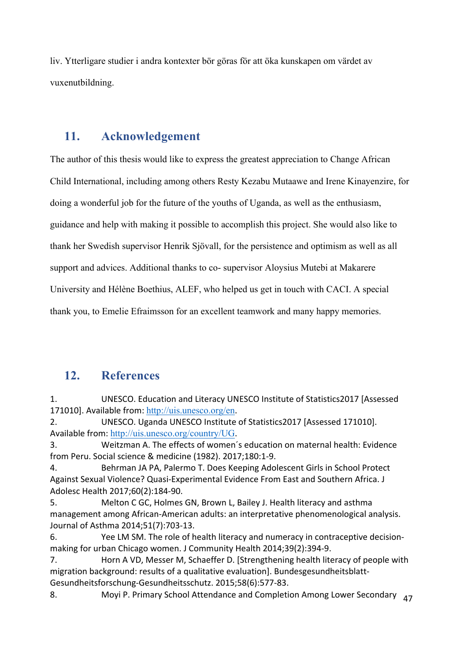liv. Ytterligare studier i andra kontexter bör göras för att öka kunskapen om värdet av vuxenutbildning.

## **11. Acknowledgement**

The author of this thesis would like to express the greatest appreciation to Change African Child International, including among others Resty Kezabu Mutaawe and Irene Kinayenzire, for doing a wonderful job for the future of the youths of Uganda, as well as the enthusiasm, guidance and help with making it possible to accomplish this project. She would also like to thank her Swedish supervisor Henrik Sjövall, for the persistence and optimism as well as all support and advices. Additional thanks to co- supervisor Aloysius Mutebi at Makarere University and Hélène Boethius, ALEF, who helped us get in touch with CACI. A special thank you, to Emelie Efraimsson for an excellent teamwork and many happy memories.

## **12. References**

1. UNESCO. Education and Literacy UNESCO Institute of Statistics2017 [Assessed 171010]. Available from: http://uis.unesco.org/en.

2. UNESCO. Uganda UNESCO Institute of Statistics2017 [Assessed 171010]. Available from: http://uis.unesco.org/country/UG.

3. Weitzman A. The effects of women's education on maternal health: Evidence from Peru. Social science & medicine (1982). 2017;180:1-9.

4. Behrman JA PA, Palermo T. Does Keeping Adolescent Girls in School Protect Against Sexual Violence? Quasi-Experimental Evidence From East and Southern Africa. J Adolesc Health 2017;60(2):184-90.

5. Melton C GC, Holmes GN, Brown L, Bailey J. Health literacy and asthma management among African-American adults: an interpretative phenomenological analysis. Journal of Asthma 2014;51(7):703-13.

6. Yee LM SM. The role of health literacy and numeracy in contraceptive decisionmaking for urban Chicago women. J Community Health 2014;39(2):394-9.

7. Horn A VD, Messer M, Schaeffer D. [Strengthening health literacy of people with migration background: results of a qualitative evaluation]. Bundesgesundheitsblatt-Gesundheitsforschung-Gesundheitsschutz. 2015;58(6):577-83.

8. Moyi P. Primary School Attendance and Completion Among Lower Secondary  $\frac{47}{100}$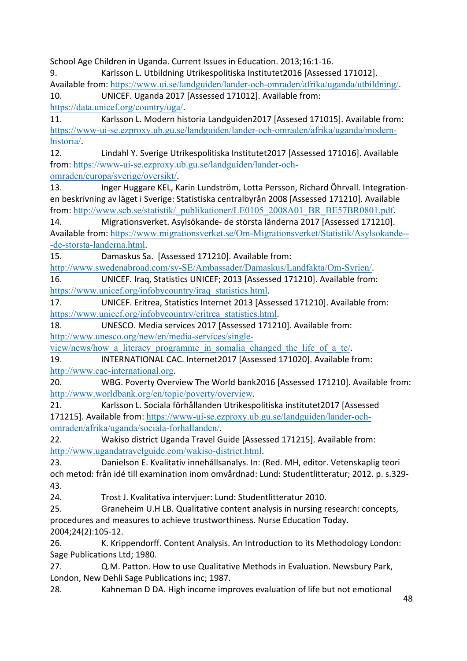School Age Children in Uganda. Current Issues in Education. 2013;16:1-16. 9. Karlsson L. Utbildning Utrikespolitiska Institutet2016 [Assessed 171012]. Available from: https://www.ui.se/landguiden/lander-och-omraden/afrika/uganda/utbildning/ 10. UNICEF. Uganda 2017 [Assessed 171012]. Available from: https://data.unicef.org/country/uga/. 11. Karlsson L. Modern historia Landguiden2017 [Assesed 171015]. Available from: https://www-ui-se.ezproxy.ub.gu.se/landguiden/lander-och-omraden/afrika/uganda/modernhistoria/. 12. Lindahl Y. Sverige Utrikespolitiska Institutet2017 [Assessed 171016]. Available from: https://www-ui-se.ezproxy.ub.gu.se/landguiden/lander-ochomraden/europa/sverige/oversikt/. 13. Inger Huggare KEL, Karin Lundström, Lotta Persson, Richard Öhrvall. Integrationen beskrivning av läget i Sverige: Statistiska centralbyrån 2008 [Assessed 171210]. Available from: http://www.scb.se/statistik/\_publikationer/LE0105\_2008A01\_BR\_BE57BR0801.pdf. 14. Migrationsverket. Asylsökande- de största länderna 2017 [Assessed 171210]. Available from: https://www.migrationsverket.se/Om-Migrationsverket/Statistik/Asylsokande---de-storsta-landerna.html. 15. Damaskus Sa. [Assessed 171210]. Available from: http://www.swedenabroad.com/sv-SE/Ambassader/Damaskus/Landfakta/Om-Syrien/. 16. UNICEF. Iraq, Statistics UNICEF; 2013 [Assessed 171210]. Available from: https://www.unicef.org/infobycountry/iraq\_statistics.html. 17. UNICEF. Eritrea, Statistics Internet 2013 [Assessed 171210]. Available from: https://www.unicef.org/infobycountry/eritrea\_statistics.html. 18. UNESCO. Media services 2017 [Assessed 171210]. Available from: http://www.unesco.org/new/en/media-services/singleview/news/how a literacy programme in somalia changed the life of a te/. 19. INTERNATIONAL CAC. Internet2017 [Assessed 171020]. Available from: http://www.cac-international.org. 20. WBG. Poverty Overview The World bank2016 [Assessed 171210]. Available from: http://www.worldbank.org/en/topic/poverty/overview. 21. Karlsson L. Sociala förhållanden Utrikespolitiska institutet2017 [Assessed 171215]. Available from: https://www-ui-se.ezproxy.ub.gu.se/landguiden/lander-ochomraden/afrika/uganda/sociala-forhallanden/. 22. Wakiso district Uganda Travel Guide [Assessed 171215]. Available from: http://www.ugandatravelguide.com/wakiso-district.html. 23. Danielson E. Kvalitativ innehållsanalys. In: (Red. MH, editor. Vetenskaplig teori och metod: från idé till examination inom omvårdnad: Lund: Studentlitteratur; 2012. p. s.329-43. 24. Trost J. Kvalitativa intervjuer: Lund: Studentlitteratur 2010. 25. Graneheim U.H LB. Qualitative content analysis in nursing research: concepts, procedures and measures to achieve trustworthiness. Nurse Education Today. 2004;24(2):105-12. 26. K. Krippendorff. Content Analysis. An Introduction to its Methodology London: Sage Publications Ltd; 1980. 27. Q.M. Patton. How to use Qualitative Methods in Evaluation. Newsbury Park, London, New Dehli Sage Publications inc; 1987.

28. Kahneman D DA. High income improves evaluation of life but not emotional